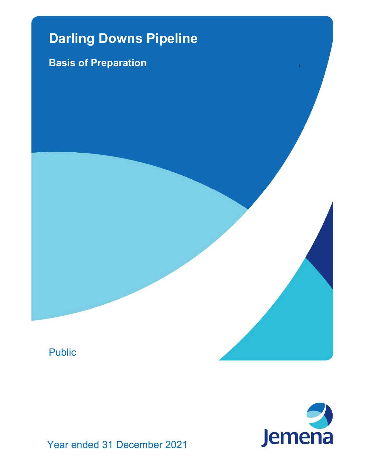# Darling Downs Pipeline

# Basis of Preparation

Public



s

Year ended 31 December 2021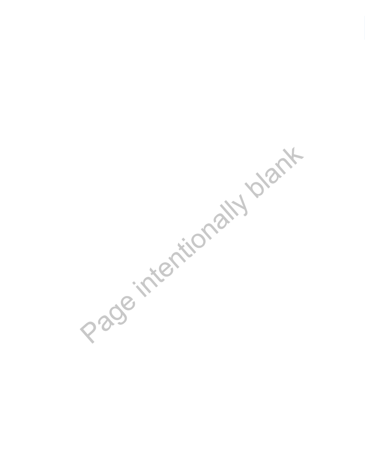Page intentionally blant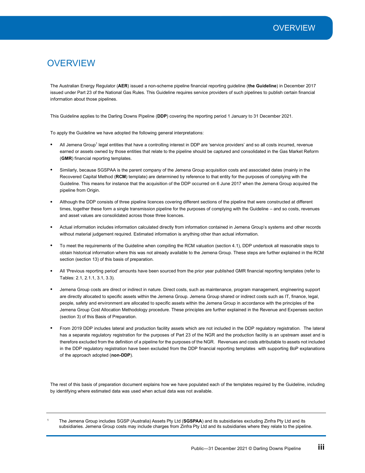#### OVERVIEW

The Australian Energy Regulator (AER) issued a non-scheme pipeline financial reporting guideline (the Guideline) in December 2017 issued under Part 23 of the National Gas Rules. This Guideline requires service providers of such pipelines to publish certain financial information about those pipelines.

This Guideline applies to the Darling Downs Pipeline (DDP) covering the reporting period 1 January to 31 December 2021.

To apply the Guideline we have adopted the following general interpretations:

- All Jemena Group<sup>1</sup> legal entities that have a controlling interest in DDP are 'service providers' and so all costs incurred, revenue earned or assets owned by those entities that relate to the pipeline should be captured and consolidated in the Gas Market Reform (GMR) financial reporting templates.
- Similarly, because SGSPAA is the parent company of the Jemena Group acquisition costs and associated dates (mainly in the Recovered Capital Method (RCM) template) are determined by reference to that entity for the purposes of complying with the Guideline. This means for instance that the acquisition of the DDP occurred on 6 June 2017 when the Jemena Group acquired the pipeline from Origin.
- Although the DDP consists of three pipeline licences covering different sections of the pipeline that were constructed at different times, together these form a single transmission pipeline for the purposes of complying with the Guideline – and so costs, revenues and asset values are consolidated across those three licences.
- Actual information includes information calculated directly from information contained in Jemena Group's systems and other records without material judgement required. Estimated information is anything other than actual information.
- To meet the requirements of the Guideline when compiling the RCM valuation (section 4.1), DDP undertook all reasonable steps to obtain historical information where this was not already available to the Jemena Group. These steps are further explained in the RCM section (section 13) of this basis of preparation.
- All 'Previous reporting period' amounts have been sourced from the prior year published GMR financial reporting templates (refer to Tables: 2.1, 2.1.1, 3.1, 3.3).
- Jemena Group costs are direct or indirect in nature. Direct costs, such as maintenance, program management, engineering support are directly allocated to specific assets within the Jemena Group. Jemena Group shared or indirect costs such as IT, finance, legal, people, safety and environment are allocated to specific assets within the Jemena Group in accordance with the principles of the Jemena Group Cost Allocation Methodology procedure. These principles are further explained in the Revenue and Expenses section (section 3) of this Basis of Preparation.
- From 2019 DDP includes lateral and production facility assets which are not included in the DDP regulatory registration. The lateral has a separate regulatory registration for the purposes of Part 23 of the NGR and the production facility is an upstream asset and is therefore excluded from the definition of a pipeline for the purposes of the NGR. Revenues and costs attributable to assets not included in the DDP regulatory registration have been excluded from the DDP financial reporting templates with supporting BoP explanations of the approach adopted (non-DDP).

The rest of this basis of preparation document explains how we have populated each of the templates required by the Guideline, including by identifying where estimated data was used when actual data was not available.

1 The Jemena Group includes SGSP (Australia) Assets Pty Ltd (SGSPAA) and its subsidiaries excluding Zinfra Pty Ltd and its subsidiaries. Jemena Group costs may include charges from Zinfra Pty Ltd and its subsidiaries where they relate to the pipeline.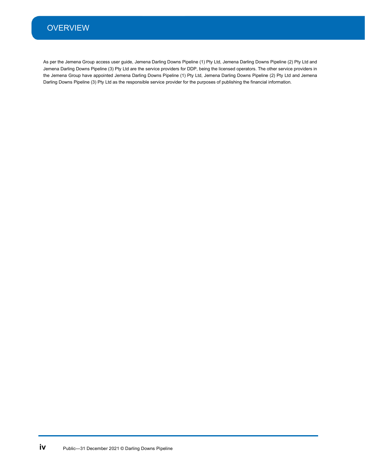#### **OVERVIEW**

As per the Jemena Group access user guide, Jemena Darling Downs Pipeline (1) Pty Ltd, Jemena Darling Downs Pipeline (2) Pty Ltd and Jemena Darling Downs Pipeline (3) Pty Ltd are the service providers for DDP, being the licensed operators. The other service providers in the Jemena Group have appointed Jemena Darling Downs Pipeline (1) Pty Ltd, Jemena Darling Downs Pipeline (2) Pty Ltd and Jemena Darling Downs Pipeline (3) Pty Ltd as the responsible service provider for the purposes of publishing the financial information.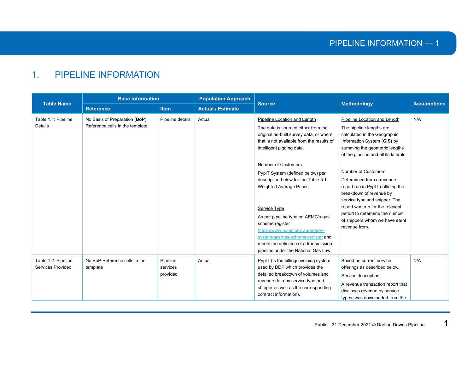# 1. PIPELINE INFORMATION

|                                                 | <b>Base Information</b>                                          |                                  | <b>Population Approach</b> |                                                                                                                                                                                                                                                             |                                                                                                                                                                                                                                                                           |                    |
|-------------------------------------------------|------------------------------------------------------------------|----------------------------------|----------------------------|-------------------------------------------------------------------------------------------------------------------------------------------------------------------------------------------------------------------------------------------------------------|---------------------------------------------------------------------------------------------------------------------------------------------------------------------------------------------------------------------------------------------------------------------------|--------------------|
| <b>Table Name</b>                               | <b>Reference</b>                                                 | <b>Item</b>                      | <b>Actual / Estimate</b>   | <b>Source</b>                                                                                                                                                                                                                                               | <b>Methodology</b>                                                                                                                                                                                                                                                        | <b>Assumptions</b> |
| Table 1.1: Pipeline<br>Details                  | No Basis of Preparation (BoP)<br>Reference cells in the template | Pipeline details                 | Actual                     | Pipeline Location and Length<br>The data is sourced either from the<br>original as-built survey data, or where<br>that is not available from the results of<br>intelligent pigging data.                                                                    | Pipeline Location and Length<br>The pipeline lengths are<br>calculated in the Geographic<br>Information System (GIS) by<br>summing the geometric lengths<br>of the pipeline and all its laterals.                                                                         | N/A                |
|                                                 |                                                                  |                                  |                            | Number of Customers                                                                                                                                                                                                                                         |                                                                                                                                                                                                                                                                           |                    |
|                                                 |                                                                  |                                  |                            | PypIT System (defined below) per<br>description below for the Table 5.1<br><b>Weighted Average Prices</b><br>Service Type<br>As per pipeline type on AEMC's gas<br>scheme register<br>https://www.aemc.gov.au/energy-<br>system/gas/gas-scheme-register and | Number of Customers<br>Determined from a revenue<br>report run in PypIT outlining the<br>breakdown of revenue by<br>service type and shipper. The<br>report was run for the relevant<br>period to determine the number<br>of shippers whom we have earnt<br>revenue from. |                    |
|                                                 |                                                                  |                                  |                            | meets the definition of a transmission<br>pipeline under the National Gas Law.                                                                                                                                                                              |                                                                                                                                                                                                                                                                           |                    |
| Table 1.2: Pipeline<br><b>Services Provided</b> | No BoP Reference cells in the<br>template                        | Pipeline<br>services<br>provided | Actual                     | PypIT (Is the billing/invoicing system<br>used by DDP which provides the<br>detailed breakdown of volumes and<br>revenue data by service type and<br>shipper as well as the corresponding<br>contract information).                                         | Based on current service<br>offerings as described below.<br>Service description<br>A revenue transaction report that<br>discloses revenue by service<br>types, was downloaded from the                                                                                   | N/A                |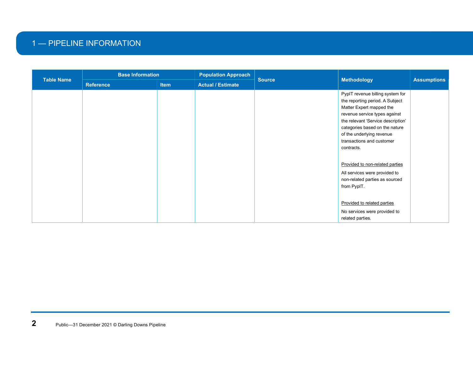# 1 — PIPELINE INFORMATION

|                   | <b>Base Information</b> |             | <b>Population Approach</b> |               |                                                                                                                                                                                                                                                                                                                                                                                                       |                    |
|-------------------|-------------------------|-------------|----------------------------|---------------|-------------------------------------------------------------------------------------------------------------------------------------------------------------------------------------------------------------------------------------------------------------------------------------------------------------------------------------------------------------------------------------------------------|--------------------|
| <b>Table Name</b> | <b>Reference</b>        | <b>Item</b> | <b>Actual / Estimate</b>   | <b>Source</b> | <b>Methodology</b>                                                                                                                                                                                                                                                                                                                                                                                    | <b>Assumptions</b> |
|                   |                         |             |                            |               | PypIT revenue billing system for<br>the reporting period. A Subject<br>Matter Expert mapped the<br>revenue service types against<br>the relevant 'Service description'<br>categories based on the nature<br>of the underlying revenue<br>transactions and customer<br>contracts.<br>Provided to non-related parties<br>All services were provided to<br>non-related parties as sourced<br>from PypIT. |                    |
|                   |                         |             |                            |               | Provided to related parties<br>No services were provided to                                                                                                                                                                                                                                                                                                                                           |                    |
|                   |                         |             |                            |               | related parties.                                                                                                                                                                                                                                                                                                                                                                                      |                    |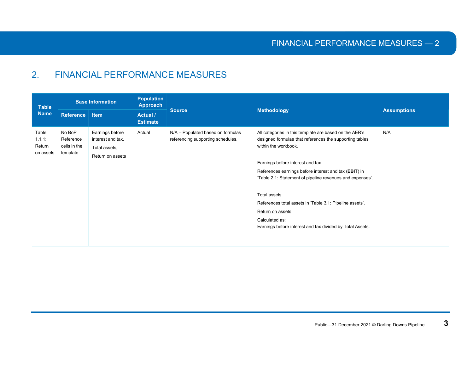# 2. FINANCIAL PERFORMANCE MEASURES

| <b>Table</b>                           | <b>Base Information</b>                         |                                                                           | <b>Population</b><br><b>Approach</b> | <b>Source</b>                                                          | <b>Methodology</b>                                                                                                                                                                                                                                                                                                                                                                                                                                                                        |                    |
|----------------------------------------|-------------------------------------------------|---------------------------------------------------------------------------|--------------------------------------|------------------------------------------------------------------------|-------------------------------------------------------------------------------------------------------------------------------------------------------------------------------------------------------------------------------------------------------------------------------------------------------------------------------------------------------------------------------------------------------------------------------------------------------------------------------------------|--------------------|
| <b>Name</b>                            | <b>Reference</b>                                | <b>Item</b>                                                               | <b>Actual</b> /<br><b>Estimate</b>   |                                                                        |                                                                                                                                                                                                                                                                                                                                                                                                                                                                                           | <b>Assumptions</b> |
| Table<br>1.1.1:<br>Return<br>on assets | No BoP<br>Reference<br>cells in the<br>template | Earnings before<br>interest and tax,<br>Total assets,<br>Return on assets | Actual                               | N/A - Populated based on formulas<br>referencing supporting schedules. | All categories in this template are based on the AER's<br>designed formulae that references the supporting tables<br>within the workbook.<br>Earnings before interest and tax<br>References earnings before interest and tax (EBIT) in<br>'Table 2.1: Statement of pipeline revenues and expenses'.<br><b>Total assets</b><br>References total assets in 'Table 3.1: Pipeline assets'.<br>Return on assets<br>Calculated as:<br>Earnings before interest and tax divided by Total Assets. | N/A                |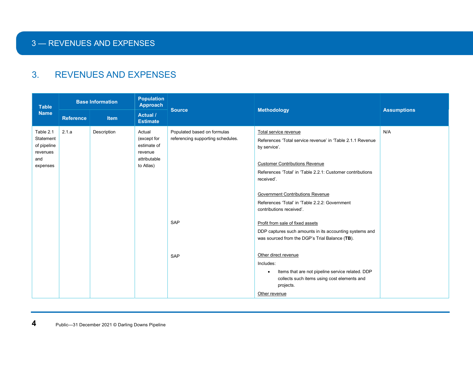#### 3. REVENUES AND EXPENSES

| <b>Table</b>                                                         | <b>Base Information</b> |             | <b>Population</b><br><b>Approach</b>                                         | <b>Source</b>                                                    | <b>Methodology</b>                                                                                                                                                                                                                                                                                                                                | <b>Assumptions</b> |
|----------------------------------------------------------------------|-------------------------|-------------|------------------------------------------------------------------------------|------------------------------------------------------------------|---------------------------------------------------------------------------------------------------------------------------------------------------------------------------------------------------------------------------------------------------------------------------------------------------------------------------------------------------|--------------------|
| <b>Name</b>                                                          | <b>Reference</b>        | <b>Item</b> | Actual /<br><b>Estimate</b>                                                  |                                                                  |                                                                                                                                                                                                                                                                                                                                                   |                    |
| Table 2.1<br>Statement<br>of pipeline<br>revenues<br>and<br>expenses | 2.1.a                   | Description | Actual<br>(except for<br>estimate of<br>revenue<br>attributable<br>to Atlas) | Populated based on formulas<br>referencing supporting schedules. | Total service revenue<br>References 'Total service revenue' in 'Table 2.1.1 Revenue<br>by service'.<br><b>Customer Contributions Revenue</b><br>References 'Total' in 'Table 2.2.1: Customer contributions<br>received'.<br><b>Government Contributions Revenue</b><br>References 'Total' in 'Table 2.2.2: Government<br>contributions received'. | N/A                |
|                                                                      |                         |             |                                                                              | SAP                                                              | Profit from sale of fixed assets<br>DDP captures such amounts in its accounting systems and<br>was sourced from the DGP's Trial Balance (TB).                                                                                                                                                                                                     |                    |
|                                                                      |                         |             |                                                                              | SAP                                                              | Other direct revenue<br>Includes:<br>Items that are not pipeline service related. DDP<br>$\bullet$<br>collects such items using cost elements and<br>projects.<br>Other revenue                                                                                                                                                                   |                    |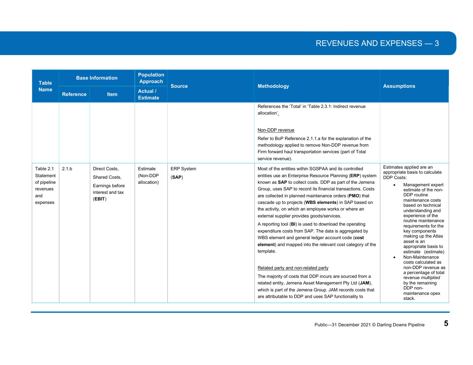#### REVENUES AND EXPENSES — 3

| <b>Table</b>                                                         | <b>Base Information</b> |                                                                                 | <b>Population</b><br><b>Approach</b> | <b>Source</b>              |                                                                                                                                                                                                                                                                                                                                                                                                                                                                                                                                                                                                                                                                                                                                                                                                                                                                                                                                                                                                               |                                                                                                                                                                                                                                                                                                                                                                                                                                                                                                                                                                                  |  |
|----------------------------------------------------------------------|-------------------------|---------------------------------------------------------------------------------|--------------------------------------|----------------------------|---------------------------------------------------------------------------------------------------------------------------------------------------------------------------------------------------------------------------------------------------------------------------------------------------------------------------------------------------------------------------------------------------------------------------------------------------------------------------------------------------------------------------------------------------------------------------------------------------------------------------------------------------------------------------------------------------------------------------------------------------------------------------------------------------------------------------------------------------------------------------------------------------------------------------------------------------------------------------------------------------------------|----------------------------------------------------------------------------------------------------------------------------------------------------------------------------------------------------------------------------------------------------------------------------------------------------------------------------------------------------------------------------------------------------------------------------------------------------------------------------------------------------------------------------------------------------------------------------------|--|
| <b>Name</b>                                                          | <b>Reference</b>        | <b>Item</b>                                                                     | <b>Actual</b> /<br><b>Estimate</b>   |                            | <b>Methodology</b>                                                                                                                                                                                                                                                                                                                                                                                                                                                                                                                                                                                                                                                                                                                                                                                                                                                                                                                                                                                            | <b>Assumptions</b>                                                                                                                                                                                                                                                                                                                                                                                                                                                                                                                                                               |  |
|                                                                      |                         |                                                                                 |                                      |                            | References the 'Total' in 'Table 2.3.1: Indirect revenue<br>allocation'.<br>Non-DDP revenue<br>Refer to BoP Reference 2.1.1.a for the explanation of the<br>methodology applied to remove Non-DDP revenue from<br>Firm forward haul transportation services (part of Total<br>service revenue).                                                                                                                                                                                                                                                                                                                                                                                                                                                                                                                                                                                                                                                                                                               |                                                                                                                                                                                                                                                                                                                                                                                                                                                                                                                                                                                  |  |
| Table 2.1<br>Statement<br>of pipeline<br>revenues<br>and<br>expenses | 2.1.b                   | Direct Costs.<br>Shared Costs.<br>Earnings before<br>interest and tax<br>(EBIT) | Estimate<br>(Non-DDP<br>allocation)  | <b>ERP System</b><br>(SAP) | Most of the entities within SGSPAA and its controlled<br>entities use an Enterprise Resource Planning (ERP) system<br>known as SAP to collect costs. DDP as part of the Jemena<br>Group, uses SAP to record its financial transactions. Costs<br>are collected in planned maintenance orders (PMO) that<br>cascade up to projects (WBS elements) in SAP based on<br>the activity, on which an employee works or where an<br>external supplier provides goods/services.<br>A reporting tool (BI) is used to download the operating<br>expenditure costs from SAP. The data is aggregated by<br>WBS element and general ledger account code (cost<br>element) and mapped into the relevant cost category of the<br>template.<br>Related party and non-related party<br>The majority of costs that DDP incurs are sourced from a<br>related entity, Jemena Asset Management Pty Ltd (JAM),<br>which is part of the Jemena Group. JAM records costs that<br>are attributable to DDP and uses SAP functionality to | Estimates applied are an<br>appropriate basis to calculate<br><b>DDP Costs:</b><br>Management expert<br>$\bullet$<br>estimate of the non-<br>DDP routine<br>maintenance costs<br>based on technical<br>understanding and<br>experience of the<br>routine maintenance<br>requirements for the<br>key components<br>making up the Atlas<br>asset is an<br>appropriate basis to<br>estimate (estimate)<br>Non-Maintenance<br>costs calculated as<br>non-DDP revenue as<br>a percentage of total<br>revenue multiplied<br>by the remaining<br>DDP non-<br>maintenance opex<br>stack. |  |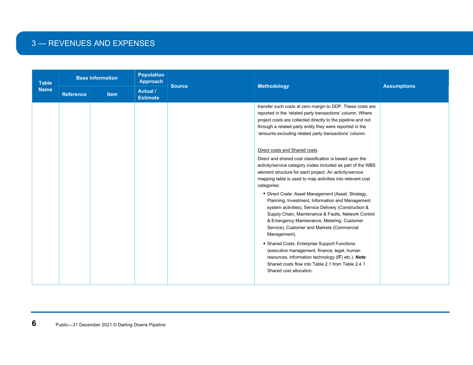### 3 — REVENUES AND EXPENSES

| <b>Table</b> | <b>Base Information</b> |             | <b>Population</b><br><b>Approach</b> | <b>Source</b> | <b>Methodology</b>                                                                                                                                                                                                                                                                                                                                                                                                                                                                                                                                                                                                                                                                                                                                                                                                                                                                                                                                                                                                                                                                                                                                                                             | <b>Assumptions</b> |
|--------------|-------------------------|-------------|--------------------------------------|---------------|------------------------------------------------------------------------------------------------------------------------------------------------------------------------------------------------------------------------------------------------------------------------------------------------------------------------------------------------------------------------------------------------------------------------------------------------------------------------------------------------------------------------------------------------------------------------------------------------------------------------------------------------------------------------------------------------------------------------------------------------------------------------------------------------------------------------------------------------------------------------------------------------------------------------------------------------------------------------------------------------------------------------------------------------------------------------------------------------------------------------------------------------------------------------------------------------|--------------------|
| <b>Name</b>  | <b>Reference</b>        | <b>Item</b> | Actual /<br><b>Estimate</b>          |               |                                                                                                                                                                                                                                                                                                                                                                                                                                                                                                                                                                                                                                                                                                                                                                                                                                                                                                                                                                                                                                                                                                                                                                                                |                    |
|              |                         |             |                                      |               | transfer such costs at zero margin to DDP. These costs are<br>reported in the 'related party transactions' column. Where<br>project costs are collected directly to the pipeline and not<br>through a related party entity they were reported in the<br>'amounts excluding related party transactions' column.<br>Direct costs and Shared costs<br>Direct and shared cost classification is based upon the<br>activity/service category codes included as part of the WBS<br>element structure for each project. An activity/service<br>mapping table is used to map activities into relevant cost<br>categories:<br>• Direct Costs: Asset Management (Asset: Strategy,<br>Planning, Investment, Information and Management<br>system activities), Service Delivery (Construction &<br>Supply Chain, Maintenance & Faults, Network Control<br>& Emergency Maintenance, Metering, Customer<br>Service), Customer and Markets (Commercial<br>Management).<br>• Shared Costs: Enterprise Support Functions<br>(executive management, finance, legal, human<br>resources, information technology (IT) etc.). Note:<br>Shared costs flow into Table 2.1 from Table 2.4 1<br>Shared cost allocation. |                    |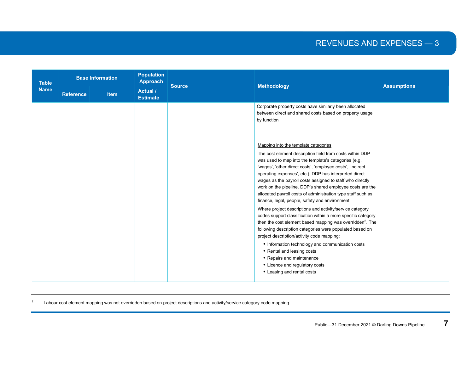#### REVENUES AND EXPENSES — 3

| <b>Table</b> |                  | <b>Base Information</b> |                                    | <b>Source</b> | <b>Methodology</b>                                                                                                                                                                                                                                                                                                                                                                                                                                                                                                                                                                                                                                                                                                                                                                                                                                                                                                                                                                                                          | <b>Assumptions</b> |
|--------------|------------------|-------------------------|------------------------------------|---------------|-----------------------------------------------------------------------------------------------------------------------------------------------------------------------------------------------------------------------------------------------------------------------------------------------------------------------------------------------------------------------------------------------------------------------------------------------------------------------------------------------------------------------------------------------------------------------------------------------------------------------------------------------------------------------------------------------------------------------------------------------------------------------------------------------------------------------------------------------------------------------------------------------------------------------------------------------------------------------------------------------------------------------------|--------------------|
| <b>Name</b>  | <b>Reference</b> | <b>Item</b>             | <b>Actual</b> /<br><b>Estimate</b> |               |                                                                                                                                                                                                                                                                                                                                                                                                                                                                                                                                                                                                                                                                                                                                                                                                                                                                                                                                                                                                                             |                    |
|              |                  |                         |                                    |               | Corporate property costs have similarly been allocated<br>between direct and shared costs based on property usage<br>by function                                                                                                                                                                                                                                                                                                                                                                                                                                                                                                                                                                                                                                                                                                                                                                                                                                                                                            |                    |
|              |                  |                         |                                    |               | Mapping into the template categories<br>The cost element description field from costs within DDP<br>was used to map into the template's categories (e.g.<br>'wages', 'other direct costs', 'employee costs', 'indirect<br>operating expenses', etc.). DDP has interpreted direct<br>wages as the payroll costs assigned to staff who directly<br>work on the pipeline. DDP's shared employee costs are the<br>allocated payroll costs of administration type staff such as<br>finance, legal, people, safety and environment.<br>Where project descriptions and activity/service category<br>codes support classification within a more specific category<br>then the cost element based mapping was overridden <sup>2</sup> . The<br>following description categories were populated based on<br>project description/activity code mapping:<br>• Information technology and communication costs<br>• Rental and leasing costs<br>• Repairs and maintenance<br>• Licence and regulatory costs<br>• Leasing and rental costs |                    |

2 Labour cost element mapping was not overridden based on project descriptions and activity/service category code mapping.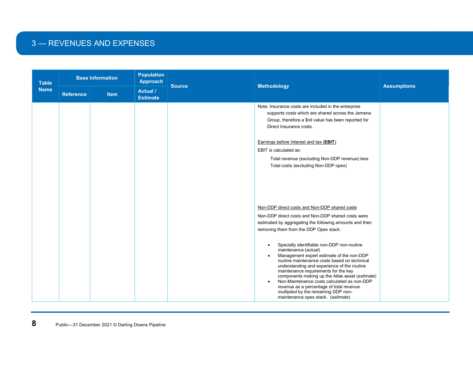#### 3 — REVENUES AND EXPENSES

| <b>Table</b> | <b>Base Information</b> |             | <b>Population</b><br><b>Approach</b> |               | <b>Methodology</b>                                                                                                                                                                                                                                                                                                                                                                                                                                                                                                        | <b>Assumptions</b> |
|--------------|-------------------------|-------------|--------------------------------------|---------------|---------------------------------------------------------------------------------------------------------------------------------------------------------------------------------------------------------------------------------------------------------------------------------------------------------------------------------------------------------------------------------------------------------------------------------------------------------------------------------------------------------------------------|--------------------|
| <b>Name</b>  | <b>Reference</b>        | <b>Item</b> | <b>Actual</b> /<br><b>Estimate</b>   | <b>Source</b> |                                                                                                                                                                                                                                                                                                                                                                                                                                                                                                                           |                    |
|              |                         |             |                                      |               | Note: Insurance costs are included in the enterprise<br>supports costs which are shared across the Jemena<br>Group, therefore a \$nil value has been reported for<br>Direct Insurance costs.                                                                                                                                                                                                                                                                                                                              |                    |
|              |                         |             |                                      |               | <b>Earnings before Interest and tax (EBIT)</b><br>EBIT is calculated as:                                                                                                                                                                                                                                                                                                                                                                                                                                                  |                    |
|              |                         |             |                                      |               | Total revenue (excluding Non-DDP revenue) less<br>Total costs (excluding Non-DDP opex)                                                                                                                                                                                                                                                                                                                                                                                                                                    |                    |
|              |                         |             |                                      |               |                                                                                                                                                                                                                                                                                                                                                                                                                                                                                                                           |                    |
|              |                         |             |                                      |               | Non-DDP direct costs and Non-DDP shared costs                                                                                                                                                                                                                                                                                                                                                                                                                                                                             |                    |
|              |                         |             |                                      |               | Non-DDP direct costs and Non-DDP shared costs were<br>estimated by aggregating the following amounts and then<br>removing them from the DDP Opex stack:                                                                                                                                                                                                                                                                                                                                                                   |                    |
|              |                         |             |                                      |               | Specially identifiable non-DDP non-routine<br>$\bullet$<br>maintenance (actual)<br>Management expert estimate of the non-DDP<br>$\bullet$<br>routine maintenance costs based on technical<br>understanding and experience of the routine<br>maintenance requirements for the key<br>components making up the Atlas asset (estimate)<br>Non-Maintenance costs calculated as non-DDP<br>$\bullet$<br>revenue as a percentage of total revenue<br>multiplied by the remaining DDP non-<br>maintenance opex stack. (estimate) |                    |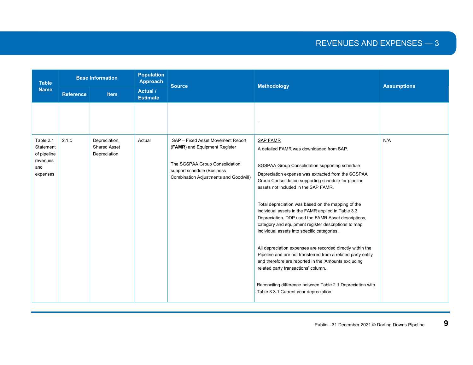#### REVENUES AND EXPENSES — 3

| <b>Table</b>                          | <b>Base Information</b> |                                                                | <b>Population</b><br><b>Approach</b> |                                                                                                      | <b>Methodology</b>                                                                                                                                                                                                                                                    |                    |
|---------------------------------------|-------------------------|----------------------------------------------------------------|--------------------------------------|------------------------------------------------------------------------------------------------------|-----------------------------------------------------------------------------------------------------------------------------------------------------------------------------------------------------------------------------------------------------------------------|--------------------|
| <b>Name</b>                           | <b>Reference</b>        | <b>Item</b>                                                    | <b>Actual</b> /<br><b>Estimate</b>   | <b>Source</b>                                                                                        |                                                                                                                                                                                                                                                                       | <b>Assumptions</b> |
|                                       |                         |                                                                |                                      |                                                                                                      |                                                                                                                                                                                                                                                                       |                    |
| Table 2.1<br>Statement<br>of pipeline | 2.1.c                   | Depreciation,<br>Actual<br><b>Shared Asset</b><br>Depreciation |                                      | SAP - Fixed Asset Movement Report<br>(FAMR) and Equipment Register<br>The SGSPAA Group Consolidation | <b>SAP FAMR</b><br>A detailed FAMR was downloaded from SAP.                                                                                                                                                                                                           | N/A                |
| revenues<br>and                       |                         |                                                                |                                      |                                                                                                      | <b>SGSPAA Group Consolidation supporting schedule</b>                                                                                                                                                                                                                 |                    |
| expenses                              |                         |                                                                |                                      | support schedule (Business<br><b>Combination Adjustments and Goodwill)</b>                           | Depreciation expense was extracted from the SGSPAA<br>Group Consolidation supporting schedule for pipeline<br>assets not included in the SAP FAMR.                                                                                                                    |                    |
|                                       |                         |                                                                |                                      |                                                                                                      | Total depreciation was based on the mapping of the<br>individual assets in the FAMR applied in Table 3.3<br>Depreciation. DDP used the FAMR Asset descriptions,<br>category and equipment register descriptions to map<br>individual assets into specific categories. |                    |
|                                       |                         |                                                                |                                      |                                                                                                      | All depreciation expenses are recorded directly within the<br>Pipeline and are not transferred from a related party entity<br>and therefore are reported in the 'Amounts excluding<br>related party transactions' column.                                             |                    |
|                                       |                         |                                                                |                                      |                                                                                                      | Reconciling difference between Table 2.1 Depreciation with<br>Table 3.3.1 Current year depreciation                                                                                                                                                                   |                    |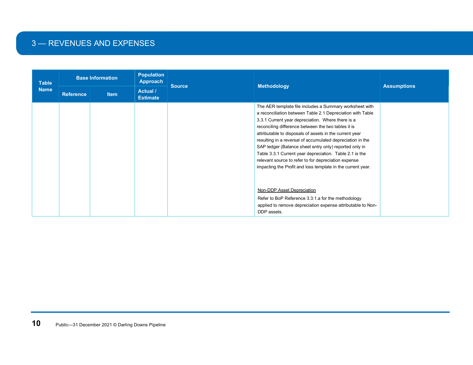# 3 — REVENUES AND EXPENSES

| <b>Table</b> | <b>Base Information</b> |             | <b>Population</b><br><b>Approach</b> | <b>Source</b> | <b>Methodology</b>                                                                                                                                                                                                                                                                                                                                                                                                                                                                                                                                                                                     |                    |
|--------------|-------------------------|-------------|--------------------------------------|---------------|--------------------------------------------------------------------------------------------------------------------------------------------------------------------------------------------------------------------------------------------------------------------------------------------------------------------------------------------------------------------------------------------------------------------------------------------------------------------------------------------------------------------------------------------------------------------------------------------------------|--------------------|
| <b>Name</b>  | <b>Reference</b>        | <b>Item</b> | <b>Actual</b> /<br><b>Estimate</b>   |               |                                                                                                                                                                                                                                                                                                                                                                                                                                                                                                                                                                                                        | <b>Assumptions</b> |
|              |                         |             |                                      |               | The AER template file includes a Summary worksheet with<br>a reconciliation between Table 2.1 Depreciation with Table<br>3.3.1 Current year depreciation. Where there is a<br>reconciling difference between the two tables it is<br>attributable to disposals of assets in the current year<br>resulting in a reversal of accumulated depreciation in the<br>SAP ledger (Balance sheet entry only) reported only in<br>Table 3.3.1 Current year depreciation. Table 2.1 is the<br>relevant source to refer to for depreciation expense<br>impacting the Profit and loss template in the current year. |                    |
|              |                         |             |                                      |               | <b>Non-DDP Asset Depreciation</b><br>Refer to BoP Reference 3.3.1.a for the methodology<br>applied to remove depreciation expense attributable to Non-<br>DDP assets.                                                                                                                                                                                                                                                                                                                                                                                                                                  |                    |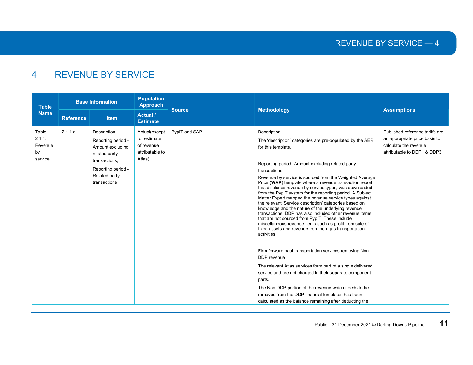#### 4. REVENUE BY SERVICE

| <b>Table</b>                                | <b>Base Information</b> |                                                                                                                                                 | <b>Population</b><br><b>Approach</b>                                     | <b>Source</b> | <b>Methodology</b>                                                                                                                                                                                                                                                                                                                                                                                                                                                                                                                                                                                                                                                                                                                                                                                                                         | <b>Assumptions</b>                                                                                                        |
|---------------------------------------------|-------------------------|-------------------------------------------------------------------------------------------------------------------------------------------------|--------------------------------------------------------------------------|---------------|--------------------------------------------------------------------------------------------------------------------------------------------------------------------------------------------------------------------------------------------------------------------------------------------------------------------------------------------------------------------------------------------------------------------------------------------------------------------------------------------------------------------------------------------------------------------------------------------------------------------------------------------------------------------------------------------------------------------------------------------------------------------------------------------------------------------------------------------|---------------------------------------------------------------------------------------------------------------------------|
| <b>Name</b>                                 | <b>Reference</b>        | <b>Item</b>                                                                                                                                     | <b>Actual</b> /<br><b>Estimate</b>                                       |               |                                                                                                                                                                                                                                                                                                                                                                                                                                                                                                                                                                                                                                                                                                                                                                                                                                            |                                                                                                                           |
| Table<br>2.1.1:<br>Revenue<br>by<br>service | 2.1.1.a                 | Description,<br>Reporting period -<br>Amount excluding<br>related party<br>transactions,<br>Reporting period -<br>Related party<br>transactions | Actual(except<br>for estimate<br>of revenue<br>attributable to<br>Atlas) | PypIT and SAP | Description<br>The 'description' categories are pre-populated by the AER<br>for this template.<br>Reporting period - Amount excluding related party<br>transactions<br>Revenue by service is sourced from the Weighted Average<br>Price (WAP) template where a revenue transaction report<br>that discloses revenue by service types, was downloaded<br>from the PypIT system for the reporting period. A Subject<br>Matter Expert mapped the revenue service types against<br>the relevant 'Service description' categories based on<br>knowledge and the nature of the underlying revenue<br>transactions. DDP has also included other revenue items<br>that are not sourced from PypIT. These include<br>miscellaneous revenue items such as profit from sale of<br>fixed assets and revenue from non-gas transportation<br>activities. | Published reference tariffs are<br>an appropriate price basis to<br>calculate the revenue<br>attributable to DDP1 & DDP3. |
|                                             |                         |                                                                                                                                                 |                                                                          |               | Firm forward haul transportation services removing Non-<br>DDP revenue<br>The relevant Atlas services form part of a single delivered<br>service and are not charged in their separate component<br>parts.<br>The Non-DDP portion of the revenue which needs to be<br>removed from the DDP financial templates has been<br>calculated as the balance remaining after deducting the                                                                                                                                                                                                                                                                                                                                                                                                                                                         |                                                                                                                           |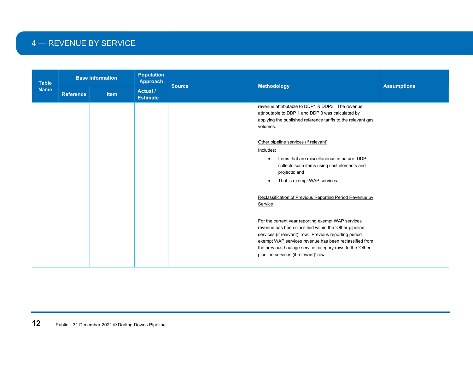# 4 — REVENUE BY SERVICE

| <b>Table</b> | <b>Base Information</b> |             | <b>Population</b><br><b>Approach</b> | <b>Source</b> |                                                                                                                                                                                                                                  |                    |
|--------------|-------------------------|-------------|--------------------------------------|---------------|----------------------------------------------------------------------------------------------------------------------------------------------------------------------------------------------------------------------------------|--------------------|
| <b>Name</b>  | <b>Reference</b>        | <b>Item</b> | Actual /<br><b>Estimate</b>          |               | <b>Methodology</b>                                                                                                                                                                                                               | <b>Assumptions</b> |
|              |                         |             |                                      |               | revenue attributable to DDP1 & DDP3. The revenue<br>attributable to DDP 1 and DDP 3 was calculated by<br>applying the published reference tariffs to the relevant gas<br>volumes.                                                |                    |
|              |                         |             |                                      |               | Other pipeline services (if relevant)<br>Includes:                                                                                                                                                                               |                    |
|              |                         |             |                                      |               | Items that are miscellaneous in nature. DDP<br>$\bullet$<br>collects such items using cost elements and<br>projects; and                                                                                                         |                    |
|              |                         |             |                                      |               | That is exempt WAP services.<br>$\bullet$                                                                                                                                                                                        |                    |
|              |                         |             |                                      |               | Reclassification of Previous Reporting Period Revenue by<br>Service                                                                                                                                                              |                    |
|              |                         |             |                                      |               | For the current year reporting exempt WAP services<br>revenue has been classified within the 'Other pipeline<br>services (if relevant)' row. Previous reporting period<br>exempt WAP services revenue has been reclassified from |                    |
|              |                         |             |                                      |               | the previous haulage service category rows to the 'Other<br>pipeline services (if relevant)' row.                                                                                                                                |                    |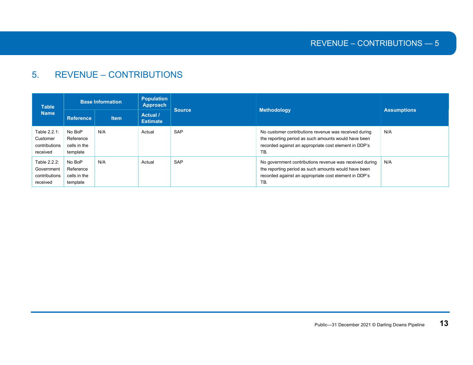#### 5. REVENUE – CONTRIBUTIONS

| <b>Table</b><br><b>Name</b>                             | <b>Base Information</b>                         |             | <b>Population</b><br>Approach | Source     | <b>Methodology</b>                                                                                                                                                              | <b>Assumptions</b> |
|---------------------------------------------------------|-------------------------------------------------|-------------|-------------------------------|------------|---------------------------------------------------------------------------------------------------------------------------------------------------------------------------------|--------------------|
|                                                         | <b>Reference</b>                                | <b>Item</b> | Actual /<br><b>Estimate</b>   |            |                                                                                                                                                                                 |                    |
| Table 2.2.1:<br>Customer<br>contributions<br>received   | No BoP<br>Reference<br>cells in the<br>template | N/A         | Actual                        | <b>SAP</b> | No customer contributions revenue was received during<br>the reporting period as such amounts would have been<br>recorded against an appropriate cost element in DDP's<br>TB.   | N/A                |
| Table 2.2.2:<br>Government<br>contributions<br>received | No BoP<br>Reference<br>cells in the<br>template | N/A         | Actual                        | <b>SAP</b> | No government contributions revenue was received during<br>the reporting period as such amounts would have been<br>recorded against an appropriate cost element in DDP's<br>TB. | N/A                |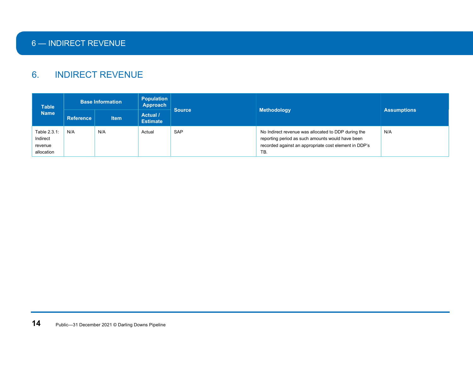# 6. INDIRECT REVENUE

| <b>Table</b><br><b>Name</b>                       | <b>Base Information</b> |             | <b>Population</b><br><b>Approach</b> | <b>Source</b> | <b>Methodology</b>                                                                                                                                                      | <b>Assumptions</b> |
|---------------------------------------------------|-------------------------|-------------|--------------------------------------|---------------|-------------------------------------------------------------------------------------------------------------------------------------------------------------------------|--------------------|
|                                                   | <b>Reference</b>        | <b>Item</b> | <b>Actual</b> /<br><b>Estimate</b>   |               |                                                                                                                                                                         |                    |
| Table 2.3.1:<br>Indirect<br>revenue<br>allocation | N/A                     | N/A         | Actual                               | <b>SAP</b>    | No Indirect revenue was allocated to DDP during the<br>reporting period as such amounts would have been<br>recorded against an appropriate cost element in DDP's<br>TB. | N/A                |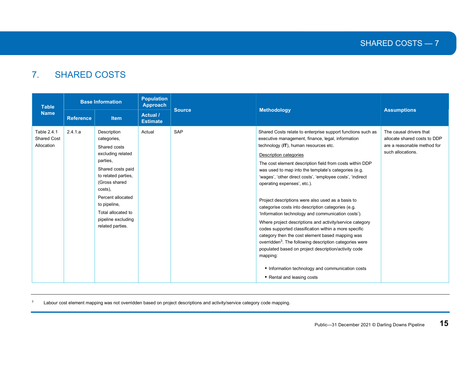SHARED COSTS — 7

### 7. SHARED COSTS

| <b>Table</b>                                    | <b>Base Information</b> |                                                                                                                                                                                                                                                          | <b>Population</b><br><b>Approach</b> | <b>Source</b> | <b>Methodology</b>                                                                                                                                                                                                                                                                                                                                                                                                                                                                                                                                                                                                                                                                                                                                                                                                                                                                                                                                                          |                                                                                                             |
|-------------------------------------------------|-------------------------|----------------------------------------------------------------------------------------------------------------------------------------------------------------------------------------------------------------------------------------------------------|--------------------------------------|---------------|-----------------------------------------------------------------------------------------------------------------------------------------------------------------------------------------------------------------------------------------------------------------------------------------------------------------------------------------------------------------------------------------------------------------------------------------------------------------------------------------------------------------------------------------------------------------------------------------------------------------------------------------------------------------------------------------------------------------------------------------------------------------------------------------------------------------------------------------------------------------------------------------------------------------------------------------------------------------------------|-------------------------------------------------------------------------------------------------------------|
| <b>Name</b>                                     | <b>Reference</b>        | <b>Item</b>                                                                                                                                                                                                                                              | Actual /<br><b>Estimate</b>          |               |                                                                                                                                                                                                                                                                                                                                                                                                                                                                                                                                                                                                                                                                                                                                                                                                                                                                                                                                                                             | <b>Assumptions</b>                                                                                          |
| Table 2.4.1<br><b>Shared Cost</b><br>Allocation | 2.4.1.a                 | Description<br>categories,<br>Shared costs<br>excluding related<br>parties,<br>Shared costs paid<br>to related parties,<br>(Gross shared<br>costs),<br>Percent allocated<br>to pipeline,<br>Total allocated to<br>pipeline excluding<br>related parties. | Actual                               | SAP           | Shared Costs relate to enterprise support functions such as<br>executive management, finance, legal, information<br>technology (IT), human resources etc.<br>Description categories<br>The cost element description field from costs within DDP<br>was used to map into the template's categories (e.g.<br>'wages', 'other direct costs', 'employee costs', 'indirect<br>operating expenses', etc.).<br>Project descriptions were also used as a basis to<br>categorise costs into description categories (e.g.<br>'Information technology and communication costs').<br>Where project descriptions and activity/service category<br>codes supported classification within a more specific<br>category then the cost element based mapping was<br>overridden <sup>3</sup> . The following description categories were<br>populated based on project description/activity code<br>mapping:<br>• Information technology and communication costs<br>• Rental and leasing costs | The causal drivers that<br>allocate shared costs to DDP<br>are a reasonable method for<br>such allocations. |

3 Labour cost element mapping was not overridden based on project descriptions and activity/service category code mapping.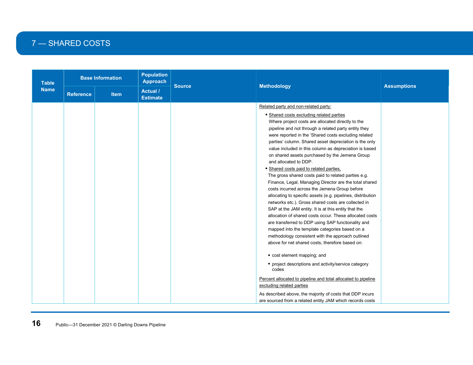# 7 — SHARED COSTS

| <b>Table</b> | <b>Base Information</b> |             | <b>Population</b><br><b>Approach</b> |               | <b>Methodology</b>                                                                                                                                                                                                                                                                                                                                                                                                                                                                                                                                                                                                                                                                                                                                                                                                                                                                                                                                                                                                                                                                                                                                                                                                                                                                                                                                                                                                                                 |                    |
|--------------|-------------------------|-------------|--------------------------------------|---------------|----------------------------------------------------------------------------------------------------------------------------------------------------------------------------------------------------------------------------------------------------------------------------------------------------------------------------------------------------------------------------------------------------------------------------------------------------------------------------------------------------------------------------------------------------------------------------------------------------------------------------------------------------------------------------------------------------------------------------------------------------------------------------------------------------------------------------------------------------------------------------------------------------------------------------------------------------------------------------------------------------------------------------------------------------------------------------------------------------------------------------------------------------------------------------------------------------------------------------------------------------------------------------------------------------------------------------------------------------------------------------------------------------------------------------------------------------|--------------------|
| <b>Name</b>  | <b>Reference</b>        | <b>Item</b> | Actual /<br><b>Estimate</b>          | <b>Source</b> |                                                                                                                                                                                                                                                                                                                                                                                                                                                                                                                                                                                                                                                                                                                                                                                                                                                                                                                                                                                                                                                                                                                                                                                                                                                                                                                                                                                                                                                    | <b>Assumptions</b> |
|              |                         |             |                                      |               | Related party and non-related party:<br>• Shared costs excluding related parties<br>Where project costs are allocated directly to the<br>pipeline and not through a related party entity they<br>were reported in the 'Shared costs excluding related<br>parties' column. Shared asset depreciation is the only<br>value included in this column as depreciation is based<br>on shared assets purchased by the Jemena Group<br>and allocated to DDP.<br>• Shared costs paid to related parties,<br>The gross shared costs paid to related parties e.g.<br>Finance, Legal, Managing Director are the total shared<br>costs incurred across the Jemena Group before<br>allocating to specific assets (e.g. pipelines, distribution<br>networks etc.). Gross shared costs are collected in<br>SAP at the JAM entity. It is at this entity that the<br>allocation of shared costs occur. These allocated costs<br>are transferred to DDP using SAP functionality and<br>mapped into the template categories based on a<br>methodology consistent with the approach outlined<br>above for net shared costs, therefore based on:<br>• cost element mapping; and<br>• project descriptions and activity/service category<br>codes<br>Percent allocated to pipeline and total allocated to pipeline<br>excluding related parties<br>As described above, the majority of costs that DDP incurs<br>are sourced from a related entity JAM which records costs |                    |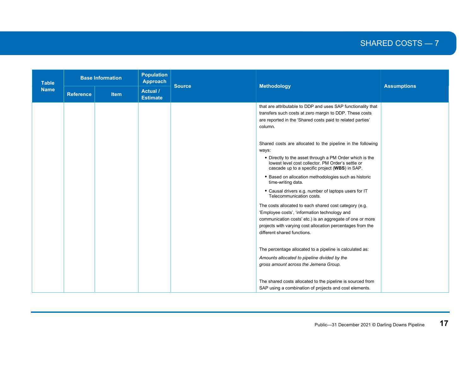### SHARED COSTS — 7

| <b>Table</b> | <b>Base Information</b> |             | <b>Population</b><br><b>Approach</b> | <b>Source</b> | <b>Methodology</b>                                                                                                                                                                                                                                                                            | <b>Assumptions</b> |
|--------------|-------------------------|-------------|--------------------------------------|---------------|-----------------------------------------------------------------------------------------------------------------------------------------------------------------------------------------------------------------------------------------------------------------------------------------------|--------------------|
| <b>Name</b>  | <b>Reference</b>        | <b>Item</b> | Actual /<br><b>Estimate</b>          |               |                                                                                                                                                                                                                                                                                               |                    |
|              |                         |             |                                      |               | that are attributable to DDP and uses SAP functionality that<br>transfers such costs at zero margin to DDP. These costs<br>are reported in the 'Shared costs paid to related parties'<br>column.                                                                                              |                    |
|              |                         |             |                                      |               | Shared costs are allocated to the pipeline in the following<br>ways:<br>• Directly to the asset through a PM Order which is the<br>lowest level cost collector. PM Order's settle or<br>cascade up to a specific project (WBS) in SAP.                                                        |                    |
|              |                         |             |                                      |               | • Based on allocation methodologies such as historic<br>time-writing data.<br>• Causal drivers e.g. number of laptops users for IT                                                                                                                                                            |                    |
|              |                         |             |                                      |               | Telecommunication costs.<br>The costs allocated to each shared cost category (e.g.<br>'Employee costs', 'information technology and<br>communication costs' etc.) is an aggregate of one or more<br>projects with varying cost allocation percentages from the<br>different shared functions. |                    |
|              |                         |             |                                      |               | The percentage allocated to a pipeline is calculated as:<br>Amounts allocated to pipeline divided by the<br>gross amount across the Jemena Group.                                                                                                                                             |                    |
|              |                         |             |                                      |               | The shared costs allocated to the pipeline is sourced from<br>SAP using a combination of projects and cost elements.                                                                                                                                                                          |                    |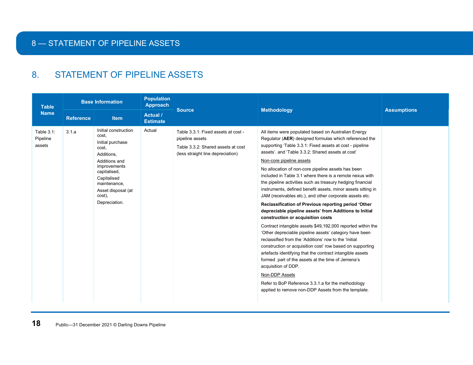#### 8. STATEMENT OF PIPELINE ASSETS

| <b>Table</b>                     | <b>Base Information</b> |                                                                                                                                                                                                           | <b>Population</b><br><b>Approach</b> | <b>Source</b>                                                                                                                     | <b>Methodology</b>                                                                                                                                                                                                                                                                                                                                                                                                                                                                                                                                                                                                                                                                                                                                                                                                                                                                                                                                                                                                                                                                                                                                                                                                                                  | <b>Assumptions</b> |
|----------------------------------|-------------------------|-----------------------------------------------------------------------------------------------------------------------------------------------------------------------------------------------------------|--------------------------------------|-----------------------------------------------------------------------------------------------------------------------------------|-----------------------------------------------------------------------------------------------------------------------------------------------------------------------------------------------------------------------------------------------------------------------------------------------------------------------------------------------------------------------------------------------------------------------------------------------------------------------------------------------------------------------------------------------------------------------------------------------------------------------------------------------------------------------------------------------------------------------------------------------------------------------------------------------------------------------------------------------------------------------------------------------------------------------------------------------------------------------------------------------------------------------------------------------------------------------------------------------------------------------------------------------------------------------------------------------------------------------------------------------------|--------------------|
| <b>Name</b>                      | <b>Reference</b>        | <b>Item</b>                                                                                                                                                                                               | <b>Actual</b> /<br><b>Estimate</b>   |                                                                                                                                   |                                                                                                                                                                                                                                                                                                                                                                                                                                                                                                                                                                                                                                                                                                                                                                                                                                                                                                                                                                                                                                                                                                                                                                                                                                                     |                    |
| Table 3.1:<br>Pipeline<br>assets | 3.1.a                   | Initial construction<br>cost,<br>Initial purchase<br>cost,<br>Additions,<br>Additions and<br>improvements<br>capitalised,<br>Capitalised<br>maintenance,<br>Asset disposal (at<br>cost),<br>Depreciation. | Actual                               | Table 3.3.1: Fixed assets at cost -<br>pipeline assets<br>Table 3.3.2: Shared assets at cost<br>(less straight line depreciation) | All items were populated based on Australian Energy<br>Regulator (AER) designed formulas which referenced the<br>supporting 'Table 3.3.1: Fixed assets at cost - pipeline<br>assets', and 'Table 3.3.2: Shared assets at cost'<br>Non-core pipeline assets<br>No allocation of non-core pipeline assets has been<br>included in Table 3.1 where there is a remote nexus with<br>the pipeline activities such as treasury hedging financial<br>instruments, defined benefit assets, minor assets sitting in<br>JAM (receivables etc.), and other corporate assets etc.<br>Reclassification of Previous reporting period 'Other<br>depreciable pipeline assets' from Additions to Initial<br>construction or acquisition costs<br>Contract intangible assets \$49,192,000 reported within the<br>'Other depreciable pipeline assets' category have been<br>reclassified from the 'Additions' row to the 'Initial<br>construction or acquisition cost' row based on supporting<br>artefacts identifying that the contract intangible assets<br>formed part of the assets at the time of Jemena's<br>acquisition of DDP.<br>Non-DDP Assets<br>Refer to BoP Reference 3.3.1.a for the methodology<br>applied to remove non-DDP Assets from the template. |                    |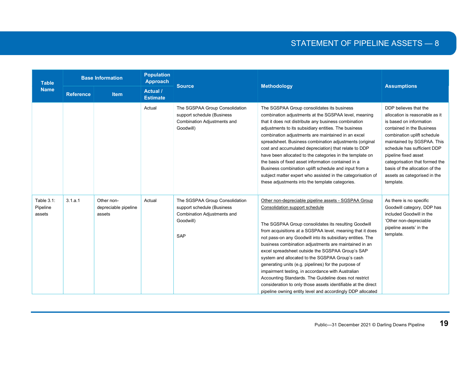| <b>Table</b>                     | <b>Base Information</b> |                                              | <b>Population</b><br><b>Approach</b> | <b>Source</b>                                                                                                          | <b>Methodology</b>                                                                                                                                                                                                                                                                                                                                                                                                                                                                                                                                                                                                                                                                                                                             |                                                                                                                                                                                                                                                                                                                                                      |
|----------------------------------|-------------------------|----------------------------------------------|--------------------------------------|------------------------------------------------------------------------------------------------------------------------|------------------------------------------------------------------------------------------------------------------------------------------------------------------------------------------------------------------------------------------------------------------------------------------------------------------------------------------------------------------------------------------------------------------------------------------------------------------------------------------------------------------------------------------------------------------------------------------------------------------------------------------------------------------------------------------------------------------------------------------------|------------------------------------------------------------------------------------------------------------------------------------------------------------------------------------------------------------------------------------------------------------------------------------------------------------------------------------------------------|
| <b>Name</b>                      | <b>Reference</b>        | Item                                         | <b>Actual</b> /<br><b>Estimate</b>   |                                                                                                                        |                                                                                                                                                                                                                                                                                                                                                                                                                                                                                                                                                                                                                                                                                                                                                | <b>Assumptions</b>                                                                                                                                                                                                                                                                                                                                   |
|                                  |                         |                                              | Actual                               | The SGSPAA Group Consolidation<br>support schedule (Business<br>Combination Adjustments and<br>Goodwill)               | The SGSPAA Group consolidates its business<br>combination adjustments at the SGSPAA level, meaning<br>that it does not distribute any business combination<br>adjustments to its subsidiary entities. The business<br>combination adjustments are maintained in an excel<br>spreadsheet. Business combination adjustments (original<br>cost and accumulated depreciation) that relate to DDP<br>have been allocated to the categories in the template on<br>the basis of fixed asset information contained in a<br>Business combination uplift schedule and input from a<br>subject matter expert who assisted in the categorisation of<br>these adjustments into the template categories.                                                     | DDP believes that the<br>allocation is reasonable as it<br>is based on information<br>contained in the Business<br>combination uplift schedule<br>maintained by SGSPAA. This<br>schedule has sufficient DDP<br>pipeline fixed asset<br>categorisation that formed the<br>basis of the allocation of the<br>assets as categorised in the<br>template. |
| Table 3.1:<br>Pipeline<br>assets | 3.1.a.1                 | Other non-<br>depreciable pipeline<br>assets | Actual                               | The SGSPAA Group Consolidation<br>support schedule (Business<br>Combination Adjustments and<br>Goodwill)<br><b>SAP</b> | Other non-depreciable pipeline assets - SGSPAA Group<br>Consolidation support schedule<br>The SGSPAA Group consolidates its resulting Goodwill<br>from acquisitions at a SGSPAA level, meaning that it does<br>not pass-on any Goodwill into its subsidiary entities. The<br>business combination adjustments are maintained in an<br>excel spreadsheet outside the SGSPAA Group's SAP<br>system and allocated to the SGSPAA Group's cash<br>generating units (e.g. pipelines) for the purpose of<br>impairment testing, in accordance with Australian<br>Accounting Standards. The Guideline does not restrict<br>consideration to only those assets identifiable at the direct<br>pipeline owning entity level and accordingly DDP allocated | As there is no specific<br>Goodwill category, DDP has<br>included Goodwill in the<br>'Other non-depreciable<br>pipeline assets' in the<br>template.                                                                                                                                                                                                  |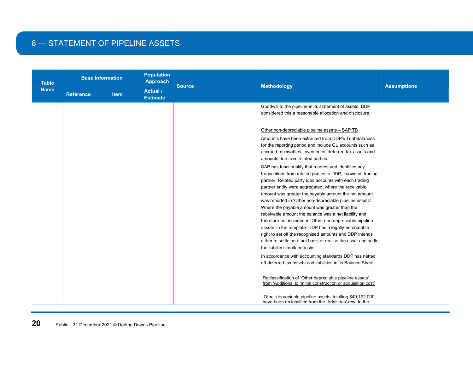# 8 — STATEMENT OF PIPELINE ASSETS

| <b>Table</b> | <b>Base Information</b> |             | <b>Population</b><br><b>Approach</b> | <b>Source</b> | <b>Methodology</b>                                                                                                                                                                                                                                                                                                                                                                                                                                                                                                                                                                                                                                                                                                                                                                                                                                                                                                                                                                                                                                                                                                                                            |                    |
|--------------|-------------------------|-------------|--------------------------------------|---------------|---------------------------------------------------------------------------------------------------------------------------------------------------------------------------------------------------------------------------------------------------------------------------------------------------------------------------------------------------------------------------------------------------------------------------------------------------------------------------------------------------------------------------------------------------------------------------------------------------------------------------------------------------------------------------------------------------------------------------------------------------------------------------------------------------------------------------------------------------------------------------------------------------------------------------------------------------------------------------------------------------------------------------------------------------------------------------------------------------------------------------------------------------------------|--------------------|
| <b>Name</b>  | <b>Reference</b>        | <b>Item</b> | <b>Actual</b> /<br><b>Estimate</b>   |               |                                                                                                                                                                                                                                                                                                                                                                                                                                                                                                                                                                                                                                                                                                                                                                                                                                                                                                                                                                                                                                                                                                                                                               | <b>Assumptions</b> |
|              |                         |             |                                      |               | Goodwill to the pipeline in its statement of assets. DDP<br>considered this a reasonable allocation and disclosure.                                                                                                                                                                                                                                                                                                                                                                                                                                                                                                                                                                                                                                                                                                                                                                                                                                                                                                                                                                                                                                           |                    |
|              |                         |             |                                      |               | Other non-depreciable pipeline assets - SAP TB<br>Amounts have been extracted from DDP's Trial Balances<br>for the reporting period and include GL accounts such as<br>accrued receivables, inventories, deferred tax assets and<br>amounts due from related parties.<br>SAP has functionality that records and identifies any<br>transactions from related parties to DDP, known as trading<br>partner. Related party loan accounts with each trading<br>partner entity were aggregated, where the receivable<br>amount was greater the payable amount the net amount<br>was reported in 'Other non-depreciable pipeline assets'.<br>Where the payable amount was greater than the<br>receivable amount the balance was a net liability and<br>therefore not included in 'Other non-depreciable pipeline<br>assets' in the template. DDP has a legally-enforceable<br>right to set off the recognised amounts and DDP intends<br>either to settle on a net basis or realise the asset and settle<br>the liability simultaneously.<br>In accordance with accounting standards DDP has netted<br>off deferred tax assets and liabilities in its Balance Sheet. |                    |
|              |                         |             |                                      |               | Reclassification of 'Other depreciable pipeline assets'<br>from 'Additions' to 'Initial construction or acquisition cost'<br>'Other depreciable pipeline assets' totalling \$49,192,000                                                                                                                                                                                                                                                                                                                                                                                                                                                                                                                                                                                                                                                                                                                                                                                                                                                                                                                                                                       |                    |
|              |                         |             |                                      |               | have been reclassified from the 'Additions' row to the                                                                                                                                                                                                                                                                                                                                                                                                                                                                                                                                                                                                                                                                                                                                                                                                                                                                                                                                                                                                                                                                                                        |                    |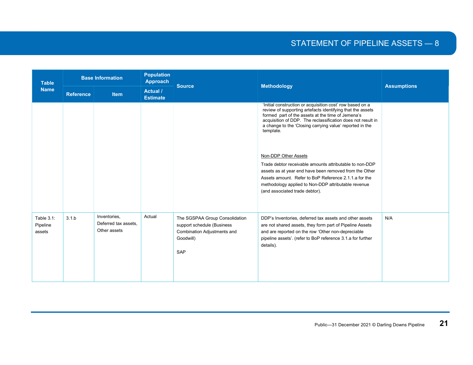#### STATEMENT OF PIPELINE ASSETS — 8

| <b>Table</b>                     | <b>Base Information</b> |                                                      | <b>Population</b><br><b>Approach</b> |                                                                                                                        | <b>Methodology</b>                                                                                                                                                                                                                                                                                                   |                    |
|----------------------------------|-------------------------|------------------------------------------------------|--------------------------------------|------------------------------------------------------------------------------------------------------------------------|----------------------------------------------------------------------------------------------------------------------------------------------------------------------------------------------------------------------------------------------------------------------------------------------------------------------|--------------------|
| <b>Name</b>                      | <b>Reference</b>        | <b>Item</b>                                          | <b>Actual</b> /<br><b>Estimate</b>   | <b>Source</b>                                                                                                          |                                                                                                                                                                                                                                                                                                                      | <b>Assumptions</b> |
|                                  |                         |                                                      |                                      |                                                                                                                        | 'Initial construction or acquisition cost' row based on a<br>review of supporting artefacts identifying that the assets<br>formed part of the assets at the time of Jemena's<br>acquisition of DDP. The reclassification does not result in<br>a change to the 'Closing carrying value' reported in the<br>template. |                    |
|                                  |                         |                                                      |                                      |                                                                                                                        | Non-DDP Other Assets<br>Trade debtor receivable amounts attributable to non-DDP<br>assets as at year end have been removed from the Other<br>Assets amount. Refer to BoP Reference 2.1.1.a for the<br>methodology applied to Non-DDP attributable revenue<br>(and associated trade debtor).                          |                    |
| Table 3.1:<br>Pipeline<br>assets | 3.1.b                   | Inventories,<br>Deferred tax assets,<br>Other assets | Actual                               | The SGSPAA Group Consolidation<br>support schedule (Business<br><b>Combination Adjustments and</b><br>Goodwill)<br>SAP | DDP's Inventories, deferred tax assets and other assets<br>are not shared assets, they form part of Pipeline Assets<br>and are reported on the row 'Other non-depreciable<br>pipeline assets'. (refer to BoP reference 3.1.a for further<br>details).                                                                | N/A                |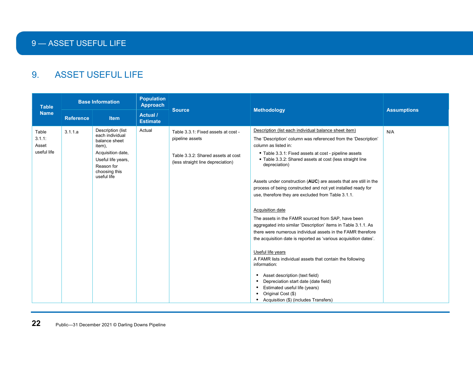#### 9. ASSET USEFUL LIFE

| <b>Table</b>                            | <b>Base Information</b> |                                                                                                                                                          | <b>Population</b><br><b>Approach</b> | <b>Source</b>                                                                                                                     | <b>Methodology</b>                                                                                                                                                                                                                                                                                                                                                                                                                                                                                                                                                                                                                                                                                                                                                                                                                                                                                                                                                                                                                                                                | <b>Assumptions</b> |
|-----------------------------------------|-------------------------|----------------------------------------------------------------------------------------------------------------------------------------------------------|--------------------------------------|-----------------------------------------------------------------------------------------------------------------------------------|-----------------------------------------------------------------------------------------------------------------------------------------------------------------------------------------------------------------------------------------------------------------------------------------------------------------------------------------------------------------------------------------------------------------------------------------------------------------------------------------------------------------------------------------------------------------------------------------------------------------------------------------------------------------------------------------------------------------------------------------------------------------------------------------------------------------------------------------------------------------------------------------------------------------------------------------------------------------------------------------------------------------------------------------------------------------------------------|--------------------|
| <b>Name</b>                             | <b>Reference</b>        | <b>Item</b>                                                                                                                                              | <b>Actual</b> /<br><b>Estimate</b>   |                                                                                                                                   |                                                                                                                                                                                                                                                                                                                                                                                                                                                                                                                                                                                                                                                                                                                                                                                                                                                                                                                                                                                                                                                                                   |                    |
| Table<br>3.1.1:<br>Asset<br>useful life | 3.1.1.a                 | Description (list<br>each individual<br>balance sheet<br>item),<br>Acquisition date,<br>Useful life years,<br>Reason for<br>choosing this<br>useful life | Actual                               | Table 3.3.1: Fixed assets at cost -<br>pipeline assets<br>Table 3.3.2: Shared assets at cost<br>(less straight line depreciation) | Description (list each individual balance sheet item)<br>The 'Description' column was referenced from the 'Description'<br>column as listed in:<br>• Table 3.3.1: Fixed assets at cost - pipeline assets<br>• Table 3.3.2: Shared assets at cost (less straight line<br>depreciation)<br>Assets under construction (AUC) are assets that are still in the<br>process of being constructed and not yet installed ready for<br>use, therefore they are excluded from Table 3.1.1.<br>Acquisition date<br>The assets in the FAMR sourced from SAP, have been<br>aggregated into similar 'Description' items in Table 3.1.1. As<br>there were numerous individual assets in the FAMR therefore<br>the acquisition date is reported as 'various acquisition dates'.<br>Useful life years<br>A FAMR lists individual assets that contain the following<br>information:<br>Asset description (text field)<br>$\bullet$<br>Depreciation start date (date field)<br>$\bullet$<br>Estimated useful life (years)<br>$\bullet$<br>Original Cost (\$)<br>Acquisition (\$) (includes Transfers) | N/A                |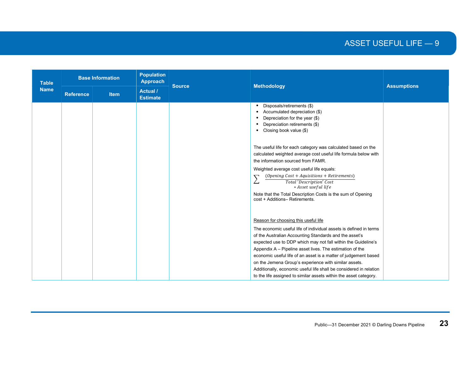### ASSET USEFUL LIFE — 9

| <b>Table</b> | <b>Base Information</b> |             | <b>Population</b><br><b>Approach</b> | <b>Source</b> |                                                                                                                                                                          |                    |
|--------------|-------------------------|-------------|--------------------------------------|---------------|--------------------------------------------------------------------------------------------------------------------------------------------------------------------------|--------------------|
| <b>Name</b>  | <b>Reference</b>        | <b>Item</b> | Actual /<br><b>Estimate</b>          |               | <b>Methodology</b>                                                                                                                                                       | <b>Assumptions</b> |
|              |                         |             |                                      |               | Disposals/retirements (\$)<br>٠<br>Accumulated depreciation (\$)<br>Depreciation for the year (\$)<br>Depreciation retirements (\$)<br>٠<br>Closing book value (\$)<br>٠ |                    |
|              |                         |             |                                      |               | The useful life for each category was calculated based on the<br>calculated weighted average cost useful life formula below with<br>the information sourced from FAMR.   |                    |
|              |                         |             |                                      |               | Weighted average cost useful life equals:<br>(Opening Cost + Aquisitions + Retirements)<br>ᠭ<br>$\sum$<br><b>Total</b> 'Description' Cost<br>* Asset useful life         |                    |
|              |                         |             |                                      |               | Note that the Total Description Costs is the sum of Opening<br>cost + Additions- Retirements.                                                                            |                    |
|              |                         |             |                                      |               | Reason for choosing this useful life                                                                                                                                     |                    |
|              |                         |             |                                      |               | The economic useful life of individual assets is defined in terms<br>of the Australian Accounting Standards and the asset's                                              |                    |
|              |                         |             |                                      |               | expected use to DDP which may not fall within the Guideline's                                                                                                            |                    |
|              |                         |             |                                      |               | Appendix A – Pipeline asset lives. The estimation of the                                                                                                                 |                    |
|              |                         |             |                                      |               | economic useful life of an asset is a matter of judgement based<br>on the Jemena Group's experience with similar assets.                                                 |                    |
|              |                         |             |                                      |               | Additionally, economic useful life shall be considered in relation                                                                                                       |                    |
|              |                         |             |                                      |               | to the life assigned to similar assets within the asset category.                                                                                                        |                    |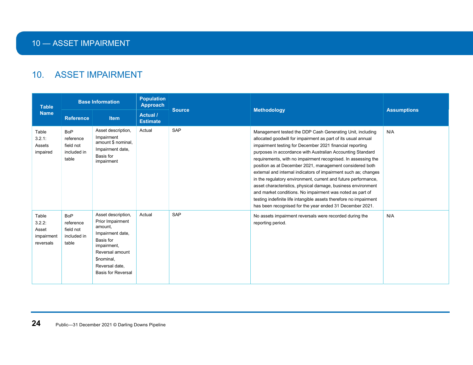# 10. ASSET IMPAIRMENT

| <b>Table</b>                                        | <b>Base Information</b>                                      |                                                                                                                                                                                   | <b>Population</b><br><b>Approach</b> | <b>Source</b> | <b>Methodology</b>                                                                                                                                                                                                                                                                                                                                                                                                                                                                                                                                                                                                                                                                                                                                                                   |                    |
|-----------------------------------------------------|--------------------------------------------------------------|-----------------------------------------------------------------------------------------------------------------------------------------------------------------------------------|--------------------------------------|---------------|--------------------------------------------------------------------------------------------------------------------------------------------------------------------------------------------------------------------------------------------------------------------------------------------------------------------------------------------------------------------------------------------------------------------------------------------------------------------------------------------------------------------------------------------------------------------------------------------------------------------------------------------------------------------------------------------------------------------------------------------------------------------------------------|--------------------|
| <b>Name</b>                                         | <b>Reference</b>                                             | <b>Item</b>                                                                                                                                                                       | Actual /<br><b>Estimate</b>          |               |                                                                                                                                                                                                                                                                                                                                                                                                                                                                                                                                                                                                                                                                                                                                                                                      | <b>Assumptions</b> |
| Table<br>3.2.1:<br>Assets<br>impaired               | <b>BoP</b><br>reference<br>field not<br>included in<br>table | Asset description,<br>Impairment<br>amount \$ nominal,<br>Impairment date,<br>Basis for<br>impairment                                                                             | Actual                               | <b>SAP</b>    | Management tested the DDP Cash Generating Unit, including<br>allocated goodwill for impairment as part of its usual annual<br>impairment testing for December 2021 financial reporting<br>purposes in accordance with Australian Accounting Standard<br>requirements, with no impairment recognised. In assessing the<br>position as at December 2021, management considered both<br>external and internal indicators of impairment such as; changes<br>in the regulatory environment, current and future performance,<br>asset characteristics, physical damage, business environment<br>and market conditions. No impairment was noted as part of<br>testing indefinite life intangible assets therefore no impairment<br>has been recognised for the year ended 31 December 2021. | N/A                |
| Table<br>3.2.2:<br>Asset<br>impairment<br>reversals | <b>BoP</b><br>reference<br>field not<br>included in<br>table | Asset description,<br>Prior Impairment<br>amount,<br>Impairment date,<br>Basis for<br>impairment,<br>Reversal amount<br>\$nominal,<br>Reversal date,<br><b>Basis for Reversal</b> | Actual                               | SAP           | No assets impairment reversals were recorded during the<br>reporting period.                                                                                                                                                                                                                                                                                                                                                                                                                                                                                                                                                                                                                                                                                                         | N/A                |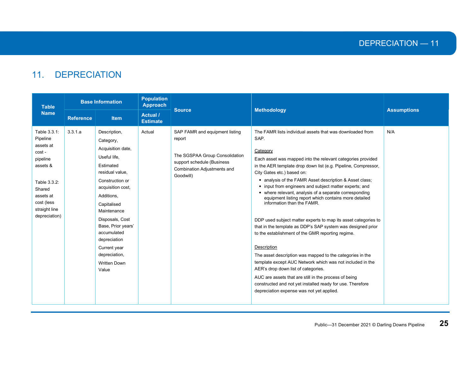DEPRECIATION — 11

# 11. DEPRECIATION

| <b>Table</b>                                                                                                                                                   | <b>Base Information</b> |                                                                                                                                                                                                                                                                                                                             | <b>Population</b><br><b>Approach</b> | <b>Source</b>                                                                                                                                        | <b>Methodology</b>                                                                                                                                                                                                                                                                                                                                                                                                                                                                                                                                                                                                                                                                                                                                                                                                                                                                                                                                                                                                                                           | <b>Assumptions</b> |
|----------------------------------------------------------------------------------------------------------------------------------------------------------------|-------------------------|-----------------------------------------------------------------------------------------------------------------------------------------------------------------------------------------------------------------------------------------------------------------------------------------------------------------------------|--------------------------------------|------------------------------------------------------------------------------------------------------------------------------------------------------|--------------------------------------------------------------------------------------------------------------------------------------------------------------------------------------------------------------------------------------------------------------------------------------------------------------------------------------------------------------------------------------------------------------------------------------------------------------------------------------------------------------------------------------------------------------------------------------------------------------------------------------------------------------------------------------------------------------------------------------------------------------------------------------------------------------------------------------------------------------------------------------------------------------------------------------------------------------------------------------------------------------------------------------------------------------|--------------------|
| <b>Name</b>                                                                                                                                                    | <b>Reference</b>        | <b>Item</b>                                                                                                                                                                                                                                                                                                                 | Actual /<br><b>Estimate</b>          |                                                                                                                                                      |                                                                                                                                                                                                                                                                                                                                                                                                                                                                                                                                                                                                                                                                                                                                                                                                                                                                                                                                                                                                                                                              |                    |
| Table 3.3.1:<br>Pipeline<br>assets at<br>cost -<br>pipeline<br>assets &<br>Table 3.3.2:<br>Shared<br>assets at<br>cost (less<br>straight line<br>depreciation) | 3.3.1.a                 | Description,<br>Category,<br>Acquisition date,<br>Useful life,<br>Estimated<br>residual value,<br>Construction or<br>acquisition cost,<br>Additions,<br>Capitalised<br>Maintenance<br>Disposals, Cost<br>Base, Prior years'<br>accumulated<br>depreciation<br>Current year<br>depreciation,<br><b>Written Down</b><br>Value | Actual                               | SAP FAMR and equipment listing<br>report<br>The SGSPAA Group Consolidation<br>support schedule (Business<br>Combination Adjustments and<br>Goodwill) | The FAMR lists individual assets that was downloaded from<br>SAP.<br>Category<br>Each asset was mapped into the relevant categories provided<br>in the AER template drop down list (e.g. Pipeline, Compressor,<br>City Gates etc.) based on:<br>• analysis of the FAMR Asset description & Asset class;<br>• input from engineers and subject matter experts; and<br>• where relevant, analysis of a separate corresponding<br>equipment listing report which contains more detailed<br>information than the FAMR.<br>DDP used subject matter experts to map its asset categories to<br>that in the template as DDP's SAP system was designed prior<br>to the establishment of the GMR reporting regime.<br>Description<br>The asset description was mapped to the categories in the<br>template except AUC Network which was not included in the<br>AER's drop down list of categories.<br>AUC are assets that are still in the process of being<br>constructed and not yet installed ready for use. Therefore<br>depreciation expense was not yet applied. | N/A                |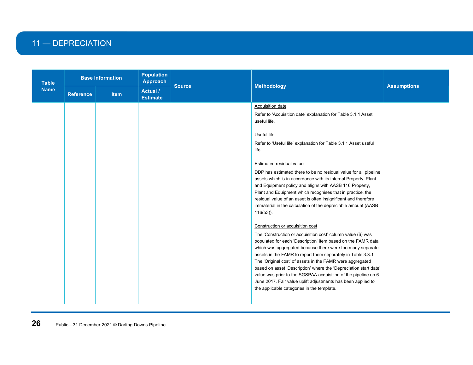# 11 — DEPRECIATION

| <b>Table</b> | <b>Base Information</b> |             | <b>Population</b><br><b>Approach</b> |               |                                                                                                                                                                                                                                                                                                                                                                                                                                                                                                                                                                                                                                                                                                                                                                                                                                                                                                                                                                                                                                                                                                                                                                                                                                                                              |                    |
|--------------|-------------------------|-------------|--------------------------------------|---------------|------------------------------------------------------------------------------------------------------------------------------------------------------------------------------------------------------------------------------------------------------------------------------------------------------------------------------------------------------------------------------------------------------------------------------------------------------------------------------------------------------------------------------------------------------------------------------------------------------------------------------------------------------------------------------------------------------------------------------------------------------------------------------------------------------------------------------------------------------------------------------------------------------------------------------------------------------------------------------------------------------------------------------------------------------------------------------------------------------------------------------------------------------------------------------------------------------------------------------------------------------------------------------|--------------------|
| <b>Name</b>  | <b>Reference</b>        | <b>Item</b> | <b>Actual</b> /<br><b>Estimate</b>   | <b>Source</b> | <b>Methodology</b>                                                                                                                                                                                                                                                                                                                                                                                                                                                                                                                                                                                                                                                                                                                                                                                                                                                                                                                                                                                                                                                                                                                                                                                                                                                           | <b>Assumptions</b> |
|              |                         |             |                                      |               | <b>Acquisition date</b><br>Refer to 'Acquisition date' explanation for Table 3.1.1 Asset<br>useful life.<br>Useful life<br>Refer to 'Useful life' explanation for Table 3.1.1 Asset useful<br>life.<br><b>Estimated residual value</b><br>DDP has estimated there to be no residual value for all pipeline<br>assets which is in accordance with its internal Property, Plant<br>and Equipment policy and aligns with AASB 116 Property,<br>Plant and Equipment which recognises that in practice, the<br>residual value of an asset is often insignificant and therefore<br>immaterial in the calculation of the depreciable amount (AASB<br>$116(53)$ ).<br>Construction or acquisition cost<br>The 'Construction or acquisition cost' column value (\$) was<br>populated for each 'Description' item based on the FAMR data<br>which was aggregated because there were too many separate<br>assets in the FAMR to report them separately in Table 3.3.1.<br>The 'Original cost' of assets in the FAMR were aggregated<br>based on asset 'Description' where the 'Depreciation start date'<br>value was prior to the SGSPAA acquisition of the pipeline on 6<br>June 2017. Fair value uplift adjustments has been applied to<br>the applicable categories in the template. |                    |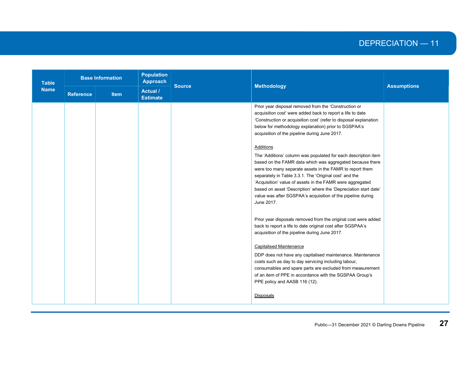#### DEPRECIATION — 11

| <b>Table</b> | <b>Base Information</b> |             | <b>Population</b><br><b>Approach</b> | <b>Source</b> | <b>Methodology</b>                                                                                                                                                                                                                                                                                                                                                                                                                                                                                                                                                                                                                                                                                                                                                                                                                                                                                                                                                                                                                                                                                                                | <b>Assumptions</b> |
|--------------|-------------------------|-------------|--------------------------------------|---------------|-----------------------------------------------------------------------------------------------------------------------------------------------------------------------------------------------------------------------------------------------------------------------------------------------------------------------------------------------------------------------------------------------------------------------------------------------------------------------------------------------------------------------------------------------------------------------------------------------------------------------------------------------------------------------------------------------------------------------------------------------------------------------------------------------------------------------------------------------------------------------------------------------------------------------------------------------------------------------------------------------------------------------------------------------------------------------------------------------------------------------------------|--------------------|
| <b>Name</b>  | <b>Reference</b>        | <b>Item</b> | Actual /<br><b>Estimate</b>          |               |                                                                                                                                                                                                                                                                                                                                                                                                                                                                                                                                                                                                                                                                                                                                                                                                                                                                                                                                                                                                                                                                                                                                   |                    |
|              |                         |             |                                      |               | Prior year disposal removed from the 'Construction or<br>acquisition cost' were added back to report a life to date<br>'Construction or acquisition cost' (refer to disposal explanation<br>below for methodology explanation) prior to SGSPAA's<br>acquisition of the pipeline during June 2017.<br><b>Additions</b><br>The 'Additions' column was populated for each description item<br>based on the FAMR data which was aggregated because there<br>were too many separate assets in the FAMR to report them<br>separately in Table 3.3.1. The 'Original cost' and the<br>'Acquisition' value of assets in the FAMR were aggregated<br>based on asset 'Description' where the 'Depreciation start date'<br>value was after SGSPAA's acquisition of the pipeline during<br>June 2017.<br>Prior year disposals removed from the original cost were added<br>back to report a life to date original cost after SGSPAA's<br>acquisition of the pipeline during June 2017.<br><b>Capitalised Maintenance</b><br>DDP does not have any capitalised maintenance. Maintenance<br>costs such as day to day servicing including labour, |                    |
|              |                         |             |                                      |               | consumables and spare parts are excluded from measurement<br>of an item of PPE in accordance with the SGSPAA Group's<br>PPE policy and AASB 116 (12).                                                                                                                                                                                                                                                                                                                                                                                                                                                                                                                                                                                                                                                                                                                                                                                                                                                                                                                                                                             |                    |
|              |                         |             |                                      |               | Disposals                                                                                                                                                                                                                                                                                                                                                                                                                                                                                                                                                                                                                                                                                                                                                                                                                                                                                                                                                                                                                                                                                                                         |                    |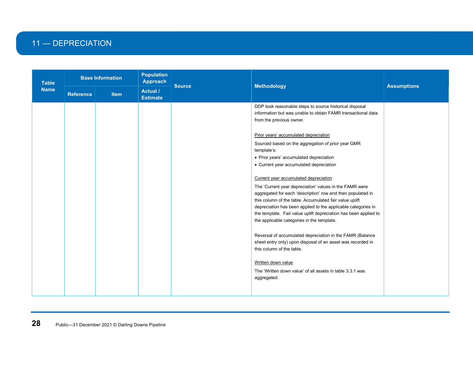# 11 — DEPRECIATION

| <b>Table</b> | <b>Base Information</b> |             | <b>Population</b><br><b>Approach</b> | <b>Source</b> | <b>Methodology</b>                                                                                                                                                                                                                                                                                                                                                                                                                                                                                                                                                                                                                                                                                                                                                                                                                                                                                                                | <b>Assumptions</b> |
|--------------|-------------------------|-------------|--------------------------------------|---------------|-----------------------------------------------------------------------------------------------------------------------------------------------------------------------------------------------------------------------------------------------------------------------------------------------------------------------------------------------------------------------------------------------------------------------------------------------------------------------------------------------------------------------------------------------------------------------------------------------------------------------------------------------------------------------------------------------------------------------------------------------------------------------------------------------------------------------------------------------------------------------------------------------------------------------------------|--------------------|
| <b>Name</b>  | <b>Reference</b>        | <b>Item</b> | Actual /<br><b>Estimate</b>          |               |                                                                                                                                                                                                                                                                                                                                                                                                                                                                                                                                                                                                                                                                                                                                                                                                                                                                                                                                   |                    |
|              |                         |             |                                      |               | DDP took reasonable steps to source historical disposal<br>information but was unable to obtain FAMR transactional data<br>from the previous owner.<br>Prior years' accumulated depreciation<br>Sourced based on the aggregation of prior year GMR<br>template's:<br>• Prior years' accumulated depreciation<br>• Current year accumulated depreciation<br>Current year accumulated depreciation<br>The 'Current year depreciation' values in the FAMR were<br>aggregated for each 'description' row and then populated in<br>this column of the table. Accumulated fair value uplift<br>depreciation has been applied to the applicable categories in<br>the template. Fair value uplift depreciation has been applied to<br>the applicable categories in the template.<br>Reversal of accumulated depreciation in the FAMR (Balance<br>sheet entry only) upon disposal of an asset was recorded in<br>this column of the table. |                    |
|              |                         |             |                                      |               | Written down value<br>The 'Written down value' of all assets in table 3.3.1 was                                                                                                                                                                                                                                                                                                                                                                                                                                                                                                                                                                                                                                                                                                                                                                                                                                                   |                    |
|              |                         |             |                                      |               | aggregated.                                                                                                                                                                                                                                                                                                                                                                                                                                                                                                                                                                                                                                                                                                                                                                                                                                                                                                                       |                    |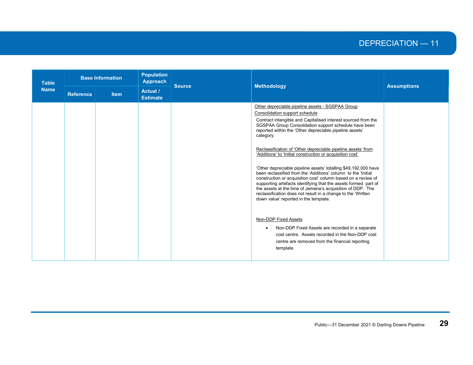#### DEPRECIATION — 11

| <b>Table</b> | <b>Base Information</b> |             | <b>Population</b><br><b>Approach</b> | <b>Source</b> |                                                                                                                                                                                                                                                                                                                                                                                                                                                                                                                                                                                                                                                                                                                                                                                                                                                                  | <b>Assumptions</b> |
|--------------|-------------------------|-------------|--------------------------------------|---------------|------------------------------------------------------------------------------------------------------------------------------------------------------------------------------------------------------------------------------------------------------------------------------------------------------------------------------------------------------------------------------------------------------------------------------------------------------------------------------------------------------------------------------------------------------------------------------------------------------------------------------------------------------------------------------------------------------------------------------------------------------------------------------------------------------------------------------------------------------------------|--------------------|
| <b>Name</b>  | <b>Reference</b>        | <b>Item</b> | Actual /<br><b>Estimate</b>          |               | <b>Methodology</b>                                                                                                                                                                                                                                                                                                                                                                                                                                                                                                                                                                                                                                                                                                                                                                                                                                               |                    |
|              |                         |             |                                      |               | Other depreciable pipeline assets - SGSPAA Group<br>Consolidation support schedule<br>Contract intangible and Capitalised interest sourced from the<br>SGSPAA Group Consolidation support schedule have been<br>reported within the 'Other depreciable pipeline assets'<br>category.<br>Reclassification of 'Other depreciable pipeline assets' from<br>'Additions' to 'Initial construction or acquisition cost'<br>'Other depreciable pipeline assets' totalling \$49,192,000 have<br>been reclassified from the 'Additions' column to the 'Initial<br>construction or acquisition cost' column based on a review of<br>supporting artefacts identifying that the assets formed part of<br>the assets at the time of Jemena's acquisition of DDP. The<br>reclassification does not result in a change to the 'Written<br>down value' reported in the template. |                    |
|              |                         |             |                                      |               | Non-DDP Fixed Assets<br>Non-DDP Fixed Assets are recorded in a separate<br>$\bullet$<br>cost centre. Assets recorded in the Non-DDP cost<br>centre are removed from the financial reporting<br>template.                                                                                                                                                                                                                                                                                                                                                                                                                                                                                                                                                                                                                                                         |                    |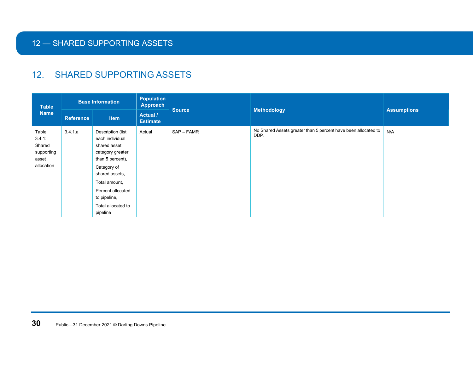# 12. SHARED SUPPORTING ASSETS

| <b>Table</b>                                                   | <b>Base Information</b> |                                                                                                                                                                                                                       | <b>Population</b><br><b>Approach</b> | <b>Source</b> | <b>Methodology</b>                                                     | <b>Assumptions</b> |
|----------------------------------------------------------------|-------------------------|-----------------------------------------------------------------------------------------------------------------------------------------------------------------------------------------------------------------------|--------------------------------------|---------------|------------------------------------------------------------------------|--------------------|
| <b>Name</b>                                                    | <b>Reference</b>        | Item                                                                                                                                                                                                                  | Actual /<br><b>Estimate</b>          |               |                                                                        |                    |
| Table<br>3.4.1:<br>Shared<br>supporting<br>asset<br>allocation | 3.4.1.a                 | Description (list<br>each individual<br>shared asset<br>category greater<br>than 5 percent),<br>Category of<br>shared assets,<br>Total amount,<br>Percent allocated<br>to pipeline,<br>Total allocated to<br>pipeline | Actual                               | SAP - FAMR    | No Shared Assets greater than 5 percent have been allocated to<br>DDP. | N/A                |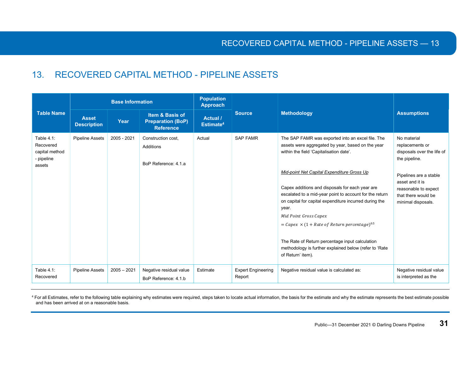|                                                                      |                                    | <b>Base Information</b> |                                                                 | <b>Population</b><br><b>Approach</b>     | <b>Source</b>                       |                                                                                                                                                                                                                                                                                                                                                                                                                                                                                                                                                                                                       |                                                                                                                                                                                                 |
|----------------------------------------------------------------------|------------------------------------|-------------------------|-----------------------------------------------------------------|------------------------------------------|-------------------------------------|-------------------------------------------------------------------------------------------------------------------------------------------------------------------------------------------------------------------------------------------------------------------------------------------------------------------------------------------------------------------------------------------------------------------------------------------------------------------------------------------------------------------------------------------------------------------------------------------------------|-------------------------------------------------------------------------------------------------------------------------------------------------------------------------------------------------|
| <b>Table Name</b>                                                    | <b>Asset</b><br><b>Description</b> | Year                    | Item & Basis of<br><b>Preparation (BoP)</b><br><b>Reference</b> | <b>Actual</b> /<br>Estimate <sup>4</sup> |                                     | <b>Methodology</b>                                                                                                                                                                                                                                                                                                                                                                                                                                                                                                                                                                                    | <b>Assumptions</b>                                                                                                                                                                              |
| Table $4.1$ :<br>Recovered<br>capital method<br>- pipeline<br>assets | <b>Pipeline Assets</b>             | 2005 - 2021             | Construction cost.<br>Additions<br>BoP Reference: 4.1.a         | Actual                                   | <b>SAP FAMR</b>                     | The SAP FAMR was exported into an excel file. The<br>assets were aggregated by year, based on the year<br>within the field 'Capitalisation date'.<br>Mid-point Net Capital Expenditure Gross Up<br>Capex additions and disposals for each year are<br>escalated to a mid-year point to account for the return<br>on capital for capital expenditure incurred during the<br>year.<br>Mid Point Gross Capex<br>$= Capex \times (1 + Rate of Return percentage)^{0.5}$<br>The Rate of Return percentage input calculation<br>methodology is further explained below (refer to 'Rate<br>of Return' item). | No material<br>replacements or<br>disposals over the life of<br>the pipeline.<br>Pipelines are a stable<br>asset and it is<br>reasonable to expect<br>that there would be<br>minimal disposals. |
| Table $4.1$ :<br>Recovered                                           | <b>Pipeline Assets</b>             | $2005 - 2021$           | Negative residual value<br>BoP Reference: 4.1.b                 | Estimate                                 | <b>Expert Engineering</b><br>Report | Negative residual value is calculated as:                                                                                                                                                                                                                                                                                                                                                                                                                                                                                                                                                             | Negative residual value<br>is interpreted as the                                                                                                                                                |

<sup>4</sup> For all Estimates, refer to the following table explaining why estimates were required, steps taken to locate actual information, the basis for the estimate and why the estimate represents the best estimate possible and has been arrived at on a reasonable basis.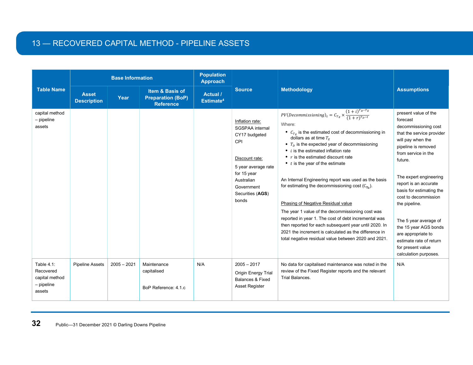|                                                                        |                                    | <b>Base Information</b> |                                                                 | <b>Population</b><br><b>Approach</b> |                                                                                                                                                                             |                                                                                                                                                                                                                                                                                                                                                                                                                                                                                                                                                                                                                                                                                                                                                                                                                          |                                                                                                                                                                                                                                                                                                                                                                                                                                              |
|------------------------------------------------------------------------|------------------------------------|-------------------------|-----------------------------------------------------------------|--------------------------------------|-----------------------------------------------------------------------------------------------------------------------------------------------------------------------------|--------------------------------------------------------------------------------------------------------------------------------------------------------------------------------------------------------------------------------------------------------------------------------------------------------------------------------------------------------------------------------------------------------------------------------------------------------------------------------------------------------------------------------------------------------------------------------------------------------------------------------------------------------------------------------------------------------------------------------------------------------------------------------------------------------------------------|----------------------------------------------------------------------------------------------------------------------------------------------------------------------------------------------------------------------------------------------------------------------------------------------------------------------------------------------------------------------------------------------------------------------------------------------|
| <b>Table Name</b>                                                      | <b>Asset</b><br><b>Description</b> | Year                    | Item & Basis of<br><b>Preparation (BoP)</b><br><b>Reference</b> | Actual /<br>Estimate <sup>4</sup>    | <b>Source</b>                                                                                                                                                               | <b>Methodology</b>                                                                                                                                                                                                                                                                                                                                                                                                                                                                                                                                                                                                                                                                                                                                                                                                       | <b>Assumptions</b>                                                                                                                                                                                                                                                                                                                                                                                                                           |
| capital method<br>$-$ pipeline<br>assets                               |                                    |                         |                                                                 |                                      | Inflation rate:<br>SGSPAA internal<br>CY17 budgeted<br>CPI<br>Discount rate:<br>5 year average rate<br>for 15 year<br>Australian<br>Government<br>Securities (AGS)<br>bonds | $PV(Decommissioning)_t = C_{T_E} \times \frac{(1+i)^{T_D-T_E}}{(1+r)^{T_D-t}}$<br>Where:<br>• $C_{T_E}$ is the estimated cost of decommissioning in<br>dollars as at time $T_F$<br>• $T_D$ is the expected year of decommissioning<br>$\bullet$ <i>i</i> is the estimated inflation rate<br>• $r$ is the estimated discount rate<br>$\bullet$ t is the year of the estimate<br>An Internal Engineering report was used as the basis<br>for estimating the decommissioning cost $(C_{T_F})$ .<br>Phasing of Negative Residual value<br>The year 1 value of the decommissioning cost was<br>reported in year 1. The cost of debt incremental was<br>then reported for each subsequent year until 2020. In<br>2021 the increment is calculated as the difference in<br>total negative residual value between 2020 and 2021. | present value of the<br>forecast<br>decommissioning cost<br>that the service provider<br>will pay when the<br>pipeline is removed<br>from service in the<br>future.<br>The expert engineering<br>report is an accurate<br>basis for estimating the<br>cost to decommission<br>the pipeline.<br>The 5 year average of<br>the 15 year AGS bonds<br>are appropriate to<br>estimate rate of return<br>for present value<br>calculation purposes. |
| Table $4.1$ :<br>Recovered<br>capital method<br>$-$ pipeline<br>assets | <b>Pipeline Assets</b>             | $2005 - 2021$           | Maintenance<br>capitalised<br>BoP Reference: 4.1.c              | N/A                                  | $2005 - 2017$<br><b>Origin Energy Trial</b><br>Balances & Fixed<br>Asset Register                                                                                           | No data for capitalised maintenance was noted in the<br>review of the Fixed Register reports and the relevant<br>Trial Balances.                                                                                                                                                                                                                                                                                                                                                                                                                                                                                                                                                                                                                                                                                         | N/A                                                                                                                                                                                                                                                                                                                                                                                                                                          |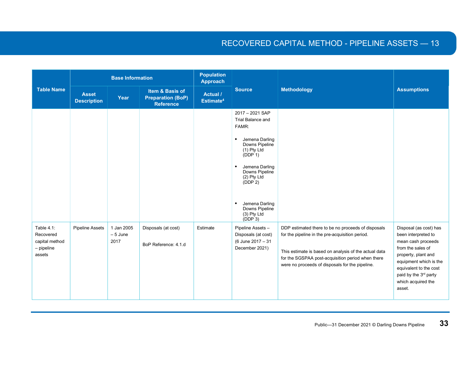| <b>Table Name</b>                                                   |                                    | <b>Base Information</b>         |                                                                 | <b>Population</b><br><b>Approach</b>     |                                                                                                                                                                                                                                                                                       | <b>Methodology</b>                                                                                                                                                                                                                                                     |                                                                                                                                                                                                                              |
|---------------------------------------------------------------------|------------------------------------|---------------------------------|-----------------------------------------------------------------|------------------------------------------|---------------------------------------------------------------------------------------------------------------------------------------------------------------------------------------------------------------------------------------------------------------------------------------|------------------------------------------------------------------------------------------------------------------------------------------------------------------------------------------------------------------------------------------------------------------------|------------------------------------------------------------------------------------------------------------------------------------------------------------------------------------------------------------------------------|
|                                                                     | <b>Asset</b><br><b>Description</b> | Year                            | Item & Basis of<br><b>Preparation (BoP)</b><br><b>Reference</b> | <b>Actual</b> /<br>Estimate <sup>4</sup> | <b>Source</b>                                                                                                                                                                                                                                                                         |                                                                                                                                                                                                                                                                        | <b>Assumptions</b>                                                                                                                                                                                                           |
|                                                                     |                                    |                                 |                                                                 |                                          | 2017 - 2021 SAP<br><b>Trial Balance and</b><br>FAMR:<br>Jemena Darling<br>Downs Pipeline<br>$(1)$ Pty Ltd<br>(DDP 1)<br>Jemena Darling<br>Downs Pipeline<br>(2) Pty Ltd<br>(DDP <sub>2</sub> )<br>Jemena Darling<br>$\bullet$<br>Downs Pipeline<br>(3) Pty Ltd<br>(DDP <sub>3</sub> ) |                                                                                                                                                                                                                                                                        |                                                                                                                                                                                                                              |
| Table 4.1:<br>Recovered<br>capital method<br>$-$ pipeline<br>assets | <b>Pipeline Assets</b>             | 1 Jan 2005<br>$-5$ June<br>2017 | Disposals (at cost)<br>BoP Reference: 4.1.d                     | Estimate                                 | Pipeline Assets -<br>Disposals (at cost)<br>(6 June 2017 - 31<br>December 2021)                                                                                                                                                                                                       | DDP estimated there to be no proceeds of disposals<br>for the pipeline in the pre-acquisition period.<br>This estimate is based on analysis of the actual data<br>for the SGSPAA post-acquisition period when there<br>were no proceeds of disposals for the pipeline. | Disposal (as cost) has<br>been interpreted to<br>mean cash proceeds<br>from the sales of<br>property, plant and<br>equipment which is the<br>equivalent to the cost<br>paid by the 3rd party<br>which acquired the<br>asset. |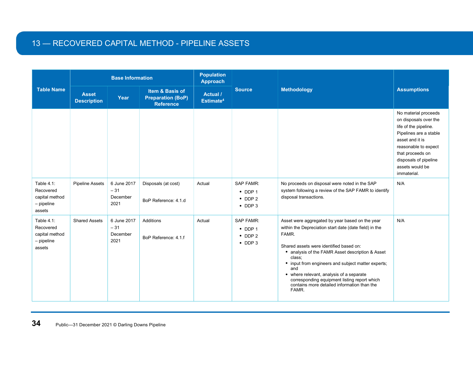|                                                                        |                                    | <b>Base Information</b>                  |                                                                 | <b>Population</b><br><b>Approach</b> |                                                                           |                                                                                                                                                                                                                                                                                                                                                                                                                                              |                                                                                                                                                                                                                            |  |
|------------------------------------------------------------------------|------------------------------------|------------------------------------------|-----------------------------------------------------------------|--------------------------------------|---------------------------------------------------------------------------|----------------------------------------------------------------------------------------------------------------------------------------------------------------------------------------------------------------------------------------------------------------------------------------------------------------------------------------------------------------------------------------------------------------------------------------------|----------------------------------------------------------------------------------------------------------------------------------------------------------------------------------------------------------------------------|--|
| <b>Table Name</b>                                                      | <b>Asset</b><br><b>Description</b> | Year                                     | Item & Basis of<br><b>Preparation (BoP)</b><br><b>Reference</b> | Actual /<br>Estimate <sup>4</sup>    | <b>Source</b>                                                             | <b>Methodology</b>                                                                                                                                                                                                                                                                                                                                                                                                                           | <b>Assumptions</b>                                                                                                                                                                                                         |  |
|                                                                        |                                    |                                          |                                                                 |                                      |                                                                           |                                                                                                                                                                                                                                                                                                                                                                                                                                              | No material proceeds<br>on disposals over the<br>life of the pipeline.<br>Pipelines are a stable<br>asset and it is<br>reasonable to expect<br>that proceeds on<br>disposals of pipeline<br>assets would be<br>immaterial. |  |
| Table 4.1:<br>Recovered<br>capital method<br>$-$ pipeline<br>assets    | <b>Pipeline Assets</b>             | 6 June 2017<br>$-31$<br>December<br>2021 | Disposals (at cost)<br>BoP Reference: 4.1.d                     | Actual                               | <b>SAP FAMR:</b><br>$\bullet$ DDP 1<br>$\bullet$ DDP 2<br>$\bullet$ DDP 3 | No proceeds on disposal were noted in the SAP<br>system following a review of the SAP FAMR to identify<br>disposal transactions.                                                                                                                                                                                                                                                                                                             | N/A                                                                                                                                                                                                                        |  |
| Table $4.1$ :<br>Recovered<br>capital method<br>$-$ pipeline<br>assets | <b>Shared Assets</b>               | 6 June 2017<br>$-31$<br>December<br>2021 | Additions<br>BoP Reference: 4.1.f                               | Actual                               | <b>SAP FAMR:</b><br>$\bullet$ DDP 1<br>$\bullet$ DDP 2<br>$\bullet$ DDP 3 | Asset were aggregated by year based on the year<br>within the Depreciation start date (date field) in the<br>FAMR.<br>Shared assets were identified based on:<br>• analysis of the FAMR Asset description & Asset<br>class:<br>• input from engineers and subject matter experts;<br>and<br>• where relevant, analysis of a separate<br>corresponding equipment listing report which<br>contains more detailed information than the<br>FAMR. | N/A                                                                                                                                                                                                                        |  |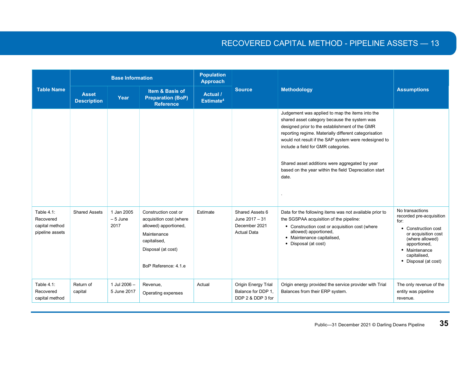| <b>Table Name</b>                                            |                                    | <b>Base Information</b>         |                                                                                                                                                       | <b>Population</b><br><b>Approach</b> |                                                                          |                                                                                                                                                                                                                                                                                                                                                                                                                                 |                                                                                                                                                                                               |
|--------------------------------------------------------------|------------------------------------|---------------------------------|-------------------------------------------------------------------------------------------------------------------------------------------------------|--------------------------------------|--------------------------------------------------------------------------|---------------------------------------------------------------------------------------------------------------------------------------------------------------------------------------------------------------------------------------------------------------------------------------------------------------------------------------------------------------------------------------------------------------------------------|-----------------------------------------------------------------------------------------------------------------------------------------------------------------------------------------------|
|                                                              | <b>Asset</b><br><b>Description</b> | Year                            | Item & Basis of<br><b>Preparation (BoP)</b><br><b>Reference</b>                                                                                       | Actual /<br>Estimate <sup>4</sup>    | <b>Source</b>                                                            | <b>Methodology</b>                                                                                                                                                                                                                                                                                                                                                                                                              | <b>Assumptions</b>                                                                                                                                                                            |
|                                                              |                                    |                                 |                                                                                                                                                       |                                      |                                                                          | Judgement was applied to map the items into the<br>shared asset category because the system was<br>designed prior to the establishment of the GMR<br>reporting regime. Materially different categorisation<br>would not result if the SAP system were redesigned to<br>include a field for GMR categories.<br>Shared asset additions were aggregated by year<br>based on the year within the field 'Depreciation start<br>date. |                                                                                                                                                                                               |
| Table 4.1:<br>Recovered<br>capital method<br>pipeline assets | <b>Shared Assets</b>               | 1 Jan 2005<br>$-5$ June<br>2017 | Construction cost or<br>acquisition cost (where<br>allowed) apportioned,<br>Maintenance<br>capitalised,<br>Disposal (at cost)<br>BoP Reference: 4.1.e | Estimate                             | Shared Assets 6<br>June 2017 - 31<br>December 2021<br><b>Actual Data</b> | Data for the following items was not available prior to<br>the SGSPAA acquisition of the pipeline:<br>• Construction cost or acquisition cost (where<br>allowed) apportioned,<br>• Maintenance capitalised,<br>• Disposal (at cost)                                                                                                                                                                                             | No transactions<br>recorded pre-acquisition<br>for:<br>• Construction cost<br>or acquisition cost<br>(where allowed)<br>apportioned,<br>• Maintenance<br>capitalised,<br>• Disposal (at cost) |
| Table 4.1:<br>Recovered<br>capital method                    | Return of<br>capital               | 1 Jul 2006 -<br>5 June 2017     | Revenue,<br>Operating expenses                                                                                                                        | Actual                               | <b>Origin Energy Trial</b><br>Balance for DDP 1.<br>DDP 2 & DDP 3 for    | Origin energy provided the service provider with Trial<br>Balances from their ERP system.                                                                                                                                                                                                                                                                                                                                       | The only revenue of the<br>entity was pipeline<br>revenue.                                                                                                                                    |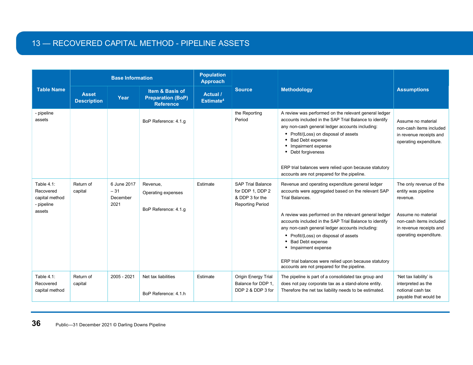|                                                                      |                                    | <b>Base Information</b>                  |                                                                 | <b>Population</b><br><b>Approach</b> |                                                                                            | <b>Methodology</b>                                                                                                                                                                                                                                                                                                                                                                                                                                                                                         | <b>Assumptions</b>                                                                                                                                               |
|----------------------------------------------------------------------|------------------------------------|------------------------------------------|-----------------------------------------------------------------|--------------------------------------|--------------------------------------------------------------------------------------------|------------------------------------------------------------------------------------------------------------------------------------------------------------------------------------------------------------------------------------------------------------------------------------------------------------------------------------------------------------------------------------------------------------------------------------------------------------------------------------------------------------|------------------------------------------------------------------------------------------------------------------------------------------------------------------|
| <b>Table Name</b>                                                    | <b>Asset</b><br><b>Description</b> | Year                                     | Item & Basis of<br><b>Preparation (BoP)</b><br><b>Reference</b> | Actual /<br>Estimate <sup>4</sup>    | <b>Source</b>                                                                              |                                                                                                                                                                                                                                                                                                                                                                                                                                                                                                            |                                                                                                                                                                  |
| - pipeline<br>assets                                                 |                                    |                                          | BoP Reference: 4.1.q                                            |                                      | the Reporting<br>Period                                                                    | A review was performed on the relevant general ledger<br>accounts included in the SAP Trial Balance to identify<br>any non-cash general ledger accounts including:<br>Profit/(Loss) on disposal of assets<br>$\bullet$<br><b>Bad Debt expense</b><br>٠<br>Impairment expense<br>Debt forgiveness<br>ERP trial balances were relied upon because statutory<br>accounts are not prepared for the pipeline.                                                                                                   | Assume no material<br>non-cash items included<br>in revenue receipts and<br>operating expenditure.                                                               |
| Table $4.1$ :<br>Recovered<br>capital method<br>- pipeline<br>assets | Return of<br>capital               | 6 June 2017<br>$-31$<br>December<br>2021 | Revenue,<br>Operating expenses<br>BoP Reference: 4.1.q          | Estimate                             | <b>SAP Trial Balance</b><br>for DDP 1, DDP 2<br>& DDP 3 for the<br><b>Reporting Period</b> | Revenue and operating expenditure general ledger<br>accounts were aggregated based on the relevant SAP<br><b>Trial Balances.</b><br>A review was performed on the relevant general ledger<br>accounts included in the SAP Trial Balance to identify<br>any non-cash general ledger accounts including:<br>• Profit/(Loss) on disposal of assets<br><b>Bad Debt expense</b><br>• Impairment expense<br>ERP trial balances were relied upon because statutory<br>accounts are not prepared for the pipeline. | The only revenue of the<br>entity was pipeline<br>revenue.<br>Assume no material<br>non-cash items included<br>in revenue receipts and<br>operating expenditure. |
| Table 4.1:<br>Recovered<br>capital method                            | Return of<br>capital               | 2005 - 2021                              | Net tax liabilities<br>BoP Reference: 4.1.h                     | Estimate                             | Origin Energy Trial<br>Balance for DDP 1,<br>DDP 2 & DDP 3 for                             | The pipeline is part of a consolidated tax group and<br>does not pay corporate tax as a stand-alone entity.<br>Therefore the net tax liability needs to be estimated.                                                                                                                                                                                                                                                                                                                                      | 'Net tax liability' is<br>interpreted as the<br>notional cash tax<br>payable that would be                                                                       |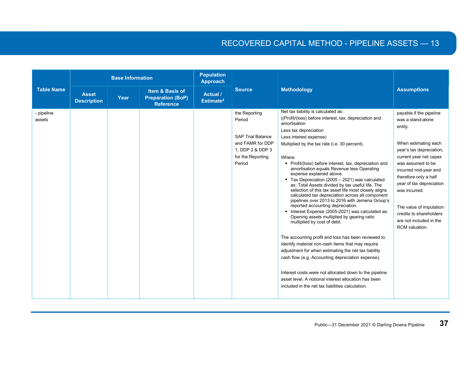|                      |                                    | <b>Base Information</b> |                                                                 | <b>Population</b><br><b>Approach</b> |                                                                                                                            |                                                                                                                                                                                                                                                                                                                                                                                                                                                                                                                                                                                                                                                                                                                                                                                                                                                                                                                                                                                                                                                                                                                                                                                                             |                                                                                                                                                                                                                                                                                                                                                              |  |
|----------------------|------------------------------------|-------------------------|-----------------------------------------------------------------|--------------------------------------|----------------------------------------------------------------------------------------------------------------------------|-------------------------------------------------------------------------------------------------------------------------------------------------------------------------------------------------------------------------------------------------------------------------------------------------------------------------------------------------------------------------------------------------------------------------------------------------------------------------------------------------------------------------------------------------------------------------------------------------------------------------------------------------------------------------------------------------------------------------------------------------------------------------------------------------------------------------------------------------------------------------------------------------------------------------------------------------------------------------------------------------------------------------------------------------------------------------------------------------------------------------------------------------------------------------------------------------------------|--------------------------------------------------------------------------------------------------------------------------------------------------------------------------------------------------------------------------------------------------------------------------------------------------------------------------------------------------------------|--|
| <b>Table Name</b>    | <b>Asset</b><br><b>Description</b> | Year                    | Item & Basis of<br><b>Preparation (BoP)</b><br><b>Reference</b> | Actual /<br>Estimate <sup>4</sup>    | <b>Source</b>                                                                                                              | <b>Methodology</b>                                                                                                                                                                                                                                                                                                                                                                                                                                                                                                                                                                                                                                                                                                                                                                                                                                                                                                                                                                                                                                                                                                                                                                                          | <b>Assumptions</b>                                                                                                                                                                                                                                                                                                                                           |  |
| - pipeline<br>assets |                                    |                         |                                                                 |                                      | the Reporting<br>Period<br><b>SAP Trial Balance</b><br>and FAMR for DDP<br>1, DDP 2 & DDP 3<br>for the Reporting<br>Period | Net tax liability is calculated as:<br>((Profit/(loss) before interest, tax, depreciation and<br>amortisation<br>Less tax depreciation<br>Less interest expense)<br>Multiplied by the tax rate (i.e. 30 percent).<br>Where:<br>• Profit/(loss) before interest, tax, depreciation and<br>amortisation equals Revenue less Operating<br>expense explained above.<br>• Tax Depreciation (2005 - 2021) was calculated<br>as: Total Assets divided by tax useful life. The<br>selection of this tax asset life most closely aligns<br>calculated tax depreciation across all component<br>pipelines over 2013 to 2016 with Jemena Group's<br>reported accounting depreciation.<br>• Interest Expense (2005-2021) was calculated as:<br>Opening assets multiplied by gearing ratio<br>multiplied by cost of debt.<br>The accounting profit and loss has been reviewed to<br>identify material non-cash items that may require<br>adjustment for when estimating the net tax liability<br>cash flow (e.g. Accounting depreciation expense).<br>Interest costs were not allocated down to the pipeline<br>asset level. A notional interest allocation has been<br>included in the net tax liabilities calculation. | payable if the pipeline<br>was a stand-alone<br>entity.<br>When estimating each<br>year's tax depreciation,<br>current year net capex<br>was assumed to be<br>incurred mid-year and<br>therefore only a half<br>year of tax depreciation<br>was incurred.<br>The value of imputation<br>credits to shareholders<br>are not included in the<br>RCM valuation. |  |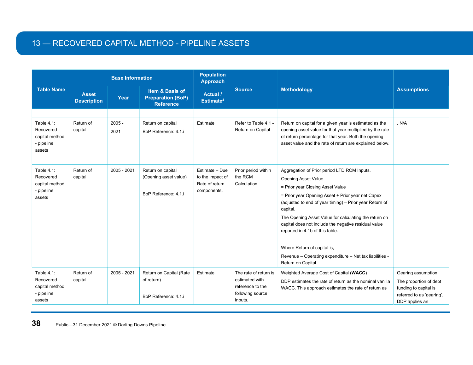|                                                                      |                                    | <b>Base Information</b> |                                                                                                                                           | <b>Population</b><br><b>Approach</b> |                                                                                            |                                                                                                                                                                                                                                                                                                                                                                                                                                                                                                              |                                                                                                                      |  |
|----------------------------------------------------------------------|------------------------------------|-------------------------|-------------------------------------------------------------------------------------------------------------------------------------------|--------------------------------------|--------------------------------------------------------------------------------------------|--------------------------------------------------------------------------------------------------------------------------------------------------------------------------------------------------------------------------------------------------------------------------------------------------------------------------------------------------------------------------------------------------------------------------------------------------------------------------------------------------------------|----------------------------------------------------------------------------------------------------------------------|--|
| <b>Table Name</b>                                                    | <b>Asset</b><br><b>Description</b> | Year                    | Item & Basis of<br><b>Preparation (BoP)</b><br><b>Reference</b>                                                                           | Actual /<br>Estimate <sup>4</sup>    | <b>Source</b>                                                                              | <b>Methodology</b>                                                                                                                                                                                                                                                                                                                                                                                                                                                                                           | <b>Assumptions</b>                                                                                                   |  |
| Table $4.1$ :<br>Recovered<br>capital method<br>- pipeline<br>assets | Return of<br>capital               | $2005 -$<br>2021        | Return on capital<br>BoP Reference: 4.1.i                                                                                                 | Estimate                             | Refer to Table 4.1 -<br>Return on Capital                                                  | Return on capital for a given year is estimated as the<br>opening asset value for that year multiplied by the rate<br>of return percentage for that year. Both the opening<br>asset value and the rate of return are explained below.                                                                                                                                                                                                                                                                        | N/A                                                                                                                  |  |
| Table $4.1$ :<br>Recovered<br>capital method<br>- pipeline<br>assets | Return of<br>capital               | 2005 - 2021             | Return on capital<br>Estimate - Due<br>(Opening asset value)<br>to the impact of<br>Rate of return<br>components.<br>BoP Reference: 4.1.i |                                      | Prior period within<br>the RCM<br>Calculation                                              | Aggregation of Prior period LTD RCM Inputs.<br><b>Opening Asset Value</b><br>= Prior year Closing Asset Value<br>= Prior year Opening Asset + Prior year net Capex<br>(adjusted to end of year timing) - Prior year Return of<br>capital.<br>The Opening Asset Value for calculating the return on<br>capital does not include the negative residual value<br>reported in 4.1b of this table.<br>Where Return of capital is,<br>Revenue - Operating expenditure - Net tax liabilities -<br>Return on Capital |                                                                                                                      |  |
| Table $4.1$ :<br>Recovered<br>capital method<br>- pipeline<br>assets | Return of<br>capital               | 2005 - 2021             | Return on Capital (Rate<br>of return)<br>BoP Reference: 4.1.i                                                                             | Estimate                             | The rate of return is<br>estimated with<br>reference to the<br>following source<br>inputs. | Weighted Average Cost of Capital (WACC)<br>DDP estimates the rate of return as the nominal vanilla<br>WACC. This approach estimates the rate of return as                                                                                                                                                                                                                                                                                                                                                    | Gearing assumption<br>The proportion of debt<br>funding to capital is<br>referred to as 'gearing'.<br>DDP applies an |  |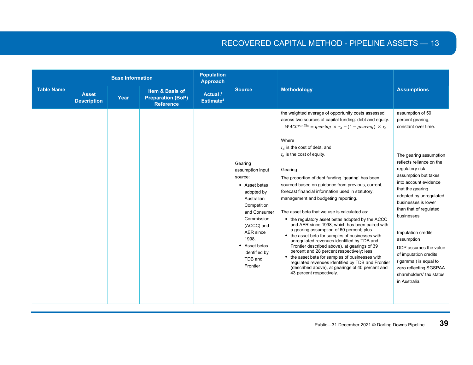|                   |                                    | <b>Base Information</b> |                                                                 | <b>Population</b><br><b>Approach</b> |                                                                                                                                                                                                                               |                                                                                                                                                                                                                                                                                                                                                                                                                                                                                                                                                                                                                                                                                                                                                                                                                                                                                                                                                                                                                                                                                   |                                                                                                                                                                                                                                                                                                                                                                                                                                                                                           |
|-------------------|------------------------------------|-------------------------|-----------------------------------------------------------------|--------------------------------------|-------------------------------------------------------------------------------------------------------------------------------------------------------------------------------------------------------------------------------|-----------------------------------------------------------------------------------------------------------------------------------------------------------------------------------------------------------------------------------------------------------------------------------------------------------------------------------------------------------------------------------------------------------------------------------------------------------------------------------------------------------------------------------------------------------------------------------------------------------------------------------------------------------------------------------------------------------------------------------------------------------------------------------------------------------------------------------------------------------------------------------------------------------------------------------------------------------------------------------------------------------------------------------------------------------------------------------|-------------------------------------------------------------------------------------------------------------------------------------------------------------------------------------------------------------------------------------------------------------------------------------------------------------------------------------------------------------------------------------------------------------------------------------------------------------------------------------------|
| <b>Table Name</b> | <b>Asset</b><br><b>Description</b> | Year                    | Item & Basis of<br><b>Preparation (BoP)</b><br><b>Reference</b> | Actual /<br>Estimate <sup>4</sup>    | <b>Source</b>                                                                                                                                                                                                                 | <b>Methodology</b>                                                                                                                                                                                                                                                                                                                                                                                                                                                                                                                                                                                                                                                                                                                                                                                                                                                                                                                                                                                                                                                                | <b>Assumptions</b>                                                                                                                                                                                                                                                                                                                                                                                                                                                                        |
|                   |                                    |                         |                                                                 |                                      | Gearing<br>assumption input<br>source:<br>• Asset betas<br>adopted by<br>Australian<br>Competition<br>and Consumer<br>Commission<br>(ACCC) and<br>AER since<br>1998.<br>• Asset betas<br>identified by<br>TDB and<br>Frontier | the weighted average of opportunity costs assessed<br>across two sources of capital funding: debt and equity.<br>$WACCvanilla = \text{gearing } \times r_d + (1 - \text{gearing}) \times r_c$<br>Where<br>$r_d$ is the cost of debt, and<br>$r_e$ is the cost of equity.<br>Gearing<br>The proportion of debt funding 'gearing' has been<br>sourced based on guidance from previous, current,<br>forecast financial information used in statutory,<br>management and budgeting reporting.<br>The asset beta that we use is calculated as:<br>• the regulatory asset betas adopted by the ACCC<br>and AER since 1998, which has been paired with<br>a gearing assumption of 60 percent; plus<br>• the asset beta for samples of businesses with<br>unregulated revenues identified by TDB and<br>Frontier described above), at gearings of 39<br>percent and 28 percent respectively; less<br>• the asset beta for samples of businesses with<br>regulated revenues identified by TDB and Frontier<br>(described above), at gearings of 40 percent and<br>43 percent respectively. | assumption of 50<br>percent gearing,<br>constant over time.<br>The gearing assumption<br>reflects reliance on the<br>regulatory risk<br>assumption but takes<br>into account evidence<br>that the gearing<br>adopted by unregulated<br>businesses is lower<br>than that of regulated<br>businesses.<br>Imputation credits<br>assumption<br>DDP assumes the value<br>of imputation credits<br>('gamma') is equal to<br>zero reflecting SGSPAA<br>shareholders' tax status<br>in Australia. |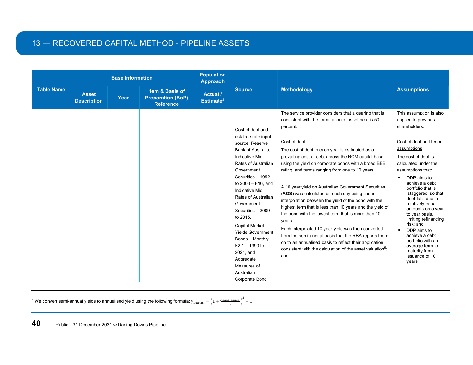|                   |                                    | <b>Base Information</b> |                                                                 | <b>Population</b><br><b>Approach</b> |                                                                                                                                                                                                                                                                                                                                                                                                                                                                  |                                                                                                                                                                                                                                                                                                                                                                                                                                                                                                                                                                                                                                                                                                                                                                                                                                                                                                                  |                                                                                                                                                                                                                                                                                                                                                                                                                                                                                                                                |
|-------------------|------------------------------------|-------------------------|-----------------------------------------------------------------|--------------------------------------|------------------------------------------------------------------------------------------------------------------------------------------------------------------------------------------------------------------------------------------------------------------------------------------------------------------------------------------------------------------------------------------------------------------------------------------------------------------|------------------------------------------------------------------------------------------------------------------------------------------------------------------------------------------------------------------------------------------------------------------------------------------------------------------------------------------------------------------------------------------------------------------------------------------------------------------------------------------------------------------------------------------------------------------------------------------------------------------------------------------------------------------------------------------------------------------------------------------------------------------------------------------------------------------------------------------------------------------------------------------------------------------|--------------------------------------------------------------------------------------------------------------------------------------------------------------------------------------------------------------------------------------------------------------------------------------------------------------------------------------------------------------------------------------------------------------------------------------------------------------------------------------------------------------------------------|
| <b>Table Name</b> | <b>Asset</b><br><b>Description</b> | Year                    | Item & Basis of<br><b>Preparation (BoP)</b><br><b>Reference</b> | Actual /<br>Estimate <sup>4</sup>    | <b>Source</b>                                                                                                                                                                                                                                                                                                                                                                                                                                                    | <b>Methodology</b>                                                                                                                                                                                                                                                                                                                                                                                                                                                                                                                                                                                                                                                                                                                                                                                                                                                                                               | <b>Assumptions</b>                                                                                                                                                                                                                                                                                                                                                                                                                                                                                                             |
|                   |                                    |                         |                                                                 |                                      | Cost of debt and<br>risk free rate input<br>source: Reserve<br>Bank of Australia.<br><b>Indicative Mid</b><br>Rates of Australian<br>Government<br>Securities - 1992<br>to 2008 - F16, and<br><b>Indicative Mid</b><br>Rates of Australian<br>Government<br>Securities - 2009<br>to 2015,<br><b>Capital Market</b><br><b>Yields Government</b><br>Bonds - Monthly -<br>$F2.1 - 1990$ to<br>2021, and<br>Aggregate<br>Measures of<br>Australian<br>Corporate Bond | The service provider considers that a gearing that is<br>consistent with the formulation of asset beta is 50<br>percent.<br>Cost of debt<br>The cost of debt in each year is estimated as a<br>prevailing cost of debt across the RCM capital base<br>using the yield on corporate bonds with a broad BBB<br>rating, and terms ranging from one to 10 years.<br>A 10 year yield on Australian Government Securities<br>(AGS) was calculated on each day using linear<br>interpolation between the yield of the bond with the<br>highest term that is less than 10 years and the yield of<br>the bond with the lowest term that is more than 10<br>years.<br>Each interpolated 10 year yield was then converted<br>from the semi-annual basis that the RBA reports them<br>on to an annualised basis to reflect their application<br>consistent with the calculation of the asset valuation <sup>5</sup> :<br>and | This assumption is also<br>applied to previous<br>shareholders.<br>Cost of debt and tenor<br>assumptions<br>The cost of debt is<br>calculated under the<br>assumptions that:<br>DDP aims to<br>$\bullet$<br>achieve a debt<br>portfolio that is<br>'staggered' so that<br>debt falls due in<br>relatively equal<br>amounts on a year<br>to year basis,<br>limiting refinancing<br>risk; and<br>DDP aims to<br>$\bullet$<br>achieve a debt<br>portfolio with an<br>average term to<br>maturity from<br>issuance of 10<br>years. |

 $^5$  We convert semi-annual yields to annualised yield using the following formula:  $y_{annual}=\Big(1+\frac{y_{semi-annual}}{2}\Big)^2-1$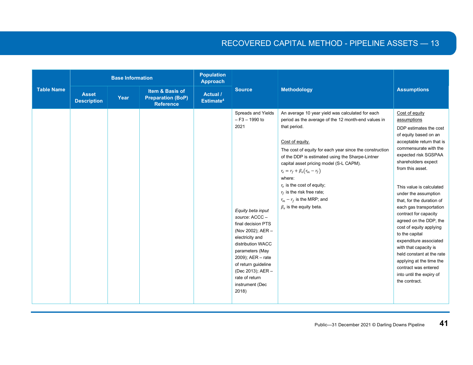| <b>Table Name</b> |                                    | <b>Base Information</b> |                                                                 | <b>Population</b><br><b>Approach</b>     |                                                                                                                                                                                                                                                                                                           |                                                                                                                                                                                                                                                                                                                                                                                                                                                                                     |                                                                                                                                                                                                                                                                                                                                                                                                                                                                                                                                                                                                        |
|-------------------|------------------------------------|-------------------------|-----------------------------------------------------------------|------------------------------------------|-----------------------------------------------------------------------------------------------------------------------------------------------------------------------------------------------------------------------------------------------------------------------------------------------------------|-------------------------------------------------------------------------------------------------------------------------------------------------------------------------------------------------------------------------------------------------------------------------------------------------------------------------------------------------------------------------------------------------------------------------------------------------------------------------------------|--------------------------------------------------------------------------------------------------------------------------------------------------------------------------------------------------------------------------------------------------------------------------------------------------------------------------------------------------------------------------------------------------------------------------------------------------------------------------------------------------------------------------------------------------------------------------------------------------------|
|                   | <b>Asset</b><br><b>Description</b> | Year                    | Item & Basis of<br><b>Preparation (BoP)</b><br><b>Reference</b> | <b>Actual</b> /<br>Estimate <sup>4</sup> | <b>Source</b>                                                                                                                                                                                                                                                                                             | <b>Methodology</b>                                                                                                                                                                                                                                                                                                                                                                                                                                                                  | <b>Assumptions</b>                                                                                                                                                                                                                                                                                                                                                                                                                                                                                                                                                                                     |
|                   |                                    |                         |                                                                 |                                          | Spreads and Yields<br>$- F3 - 1990$ to<br>2021<br>Equity beta input<br>source: ACCC-<br>final decision PTS<br>(Nov 2002); AER -<br>electricity and<br>distribution WACC<br>parameters (May<br>2009); AER - rate<br>of return guideline<br>(Dec 2013); AER -<br>rate of return<br>instrument (Dec<br>2018) | An average 10 year yield was calculated for each<br>period as the average of the 12 month-end values in<br>that period.<br>Cost of equity.<br>The cost of equity for each year since the construction<br>of the DDP is estimated using the Sharpe-Lintner<br>capital asset pricing model (S-L CAPM).<br>$r_e = r_f + \beta_e (r_m - r_f)$<br>where:<br>$r_e$ is the cost of equity;<br>$r_f$ is the risk free rate;<br>$r_m - r_f$ is the MRP; and<br>$\beta_e$ is the equity beta. | Cost of equity<br>assumptions<br>DDP estimates the cost<br>of equity based on an<br>acceptable return that is<br>commensurate with the<br>expected risk SGSPAA<br>shareholders expect<br>from this asset.<br>This value is calculated<br>under the assumption<br>that, for the duration of<br>each gas transportation<br>contract for capacity<br>agreed on the DDP, the<br>cost of equity applying<br>to the capital<br>expenditure associated<br>with that capacity is<br>held constant at the rate<br>applying at the time the<br>contract was entered<br>into until the expiry of<br>the contract. |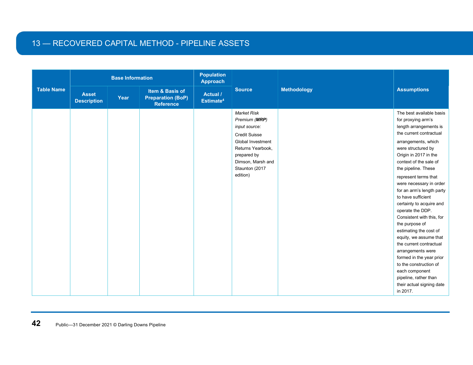|                   |                                    | <b>Base Information</b> |                                                                 | <b>Population</b><br><b>Approach</b>     |                                                                                                                                                                                          |                    |                                                                                                                                                                                                                                                                                                                                                                                                                                                                                                                                                                                                                                                                               |
|-------------------|------------------------------------|-------------------------|-----------------------------------------------------------------|------------------------------------------|------------------------------------------------------------------------------------------------------------------------------------------------------------------------------------------|--------------------|-------------------------------------------------------------------------------------------------------------------------------------------------------------------------------------------------------------------------------------------------------------------------------------------------------------------------------------------------------------------------------------------------------------------------------------------------------------------------------------------------------------------------------------------------------------------------------------------------------------------------------------------------------------------------------|
| <b>Table Name</b> | <b>Asset</b><br><b>Description</b> | Year                    | Item & Basis of<br><b>Preparation (BoP)</b><br><b>Reference</b> | <b>Actual</b> /<br>Estimate <sup>4</sup> | <b>Source</b>                                                                                                                                                                            | <b>Methodology</b> | <b>Assumptions</b>                                                                                                                                                                                                                                                                                                                                                                                                                                                                                                                                                                                                                                                            |
|                   |                                    |                         |                                                                 |                                          | <b>Market Risk</b><br>Premium (MRP)<br>input source:<br><b>Credit Suisse</b><br>Global Investment<br>Returns Yearbook,<br>prepared by<br>Dimson, Marsh and<br>Staunton (2017<br>edition) |                    | The best available basis<br>for proxying arm's<br>length arrangements is<br>the current contractual<br>arrangements, which<br>were structured by<br>Origin in 2017 in the<br>context of the sale of<br>the pipeline. These<br>represent terms that<br>were necessary in order<br>for an arm's length party<br>to have sufficient<br>certainty to acquire and<br>operate the DDP.<br>Consistent with this, for<br>the purpose of<br>estimating the cost of<br>equity, we assume that<br>the current contractual<br>arrangements were<br>formed in the year prior<br>to the construction of<br>each component<br>pipeline, rather than<br>their actual signing date<br>in 2017. |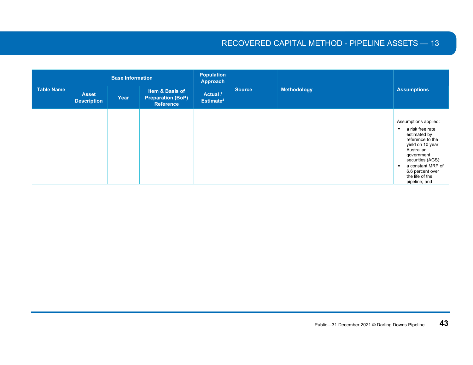| <b>Table Name</b> |                                    | <b>Base Information</b> |                                                                 | <b>Population</b><br><b>Approach</b>     | <b>Source</b> | <b>Methodology</b> |                                                                                                                                                                                                                                                          |
|-------------------|------------------------------------|-------------------------|-----------------------------------------------------------------|------------------------------------------|---------------|--------------------|----------------------------------------------------------------------------------------------------------------------------------------------------------------------------------------------------------------------------------------------------------|
|                   | <b>Asset</b><br><b>Description</b> | Year                    | Item & Basis of<br><b>Preparation (BoP)</b><br><b>Reference</b> | <b>Actual</b> /<br>Estimate <sup>4</sup> |               |                    | <b>Assumptions</b>                                                                                                                                                                                                                                       |
|                   |                                    |                         |                                                                 |                                          |               |                    | Assumptions applied:<br>a risk free rate<br>$\bullet$<br>estimated by<br>reference to the<br>yield on 10 year<br>Australian<br>government<br>securities (AGS);<br>a constant MRP of<br>$\bullet$<br>6.6 percent over<br>the life of the<br>pipeline; and |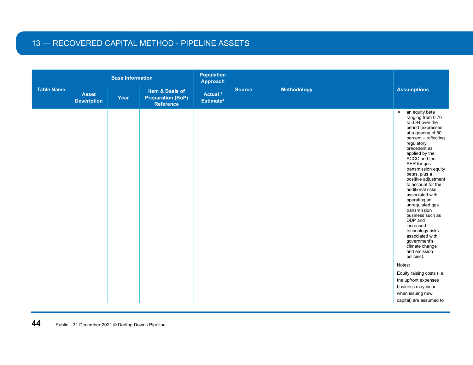|                   |                                    | <b>Base Information</b> |                                                                 | <b>Population</b><br><b>Approach</b> |               | <b>Methodology</b> |                                                                                                                                                                                                                                                                                                                                                                                                                                                                                                                                                          |
|-------------------|------------------------------------|-------------------------|-----------------------------------------------------------------|--------------------------------------|---------------|--------------------|----------------------------------------------------------------------------------------------------------------------------------------------------------------------------------------------------------------------------------------------------------------------------------------------------------------------------------------------------------------------------------------------------------------------------------------------------------------------------------------------------------------------------------------------------------|
| <b>Table Name</b> | <b>Asset</b><br><b>Description</b> | Year                    | Item & Basis of<br><b>Preparation (BoP)</b><br><b>Reference</b> | Actual /<br>Estimate <sup>4</sup>    | <b>Source</b> |                    | <b>Assumptions</b>                                                                                                                                                                                                                                                                                                                                                                                                                                                                                                                                       |
|                   |                                    |                         |                                                                 |                                      |               |                    | an equity beta<br>$\bullet$<br>ranging from 0.70<br>to 0.94 over the<br>period (expressed<br>at a gearing of 50<br>percent - reflecting<br>regulatory<br>precedent as<br>applied by the<br>ACCC and the<br>AER for gas<br>transmission equity<br>betas, plus a<br>positive adjustment<br>to account for the<br>additional risks<br>associated with<br>operating an<br>unregulated gas<br>transmission<br>business such as<br>DDP and<br>increased<br>technology risks<br>associated with<br>government's<br>climate change<br>and emission<br>policies). |
|                   |                                    |                         |                                                                 |                                      |               |                    | Notes:                                                                                                                                                                                                                                                                                                                                                                                                                                                                                                                                                   |
|                   |                                    |                         |                                                                 |                                      |               |                    | Equity raising costs (i.e.                                                                                                                                                                                                                                                                                                                                                                                                                                                                                                                               |
|                   |                                    |                         |                                                                 |                                      |               |                    | the upfront expenses                                                                                                                                                                                                                                                                                                                                                                                                                                                                                                                                     |
|                   |                                    |                         |                                                                 |                                      |               |                    | business may incur                                                                                                                                                                                                                                                                                                                                                                                                                                                                                                                                       |
|                   |                                    |                         |                                                                 |                                      |               |                    | when issuing new                                                                                                                                                                                                                                                                                                                                                                                                                                                                                                                                         |
|                   |                                    |                         |                                                                 |                                      |               |                    | capital) are assumed to                                                                                                                                                                                                                                                                                                                                                                                                                                                                                                                                  |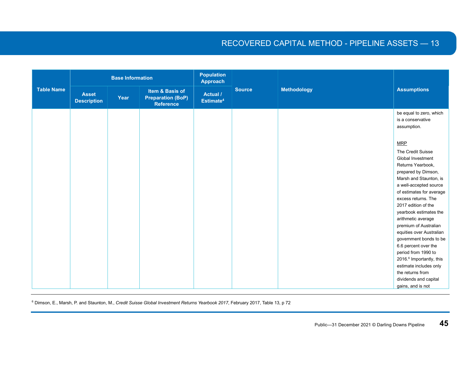| <b>Assumptions</b>                                             |
|----------------------------------------------------------------|
|                                                                |
| be equal to zero, which                                        |
| is a conservative                                              |
| assumption.                                                    |
|                                                                |
|                                                                |
| The Credit Suisse                                              |
| Global Investment                                              |
| Returns Yearbook,                                              |
| prepared by Dimson,                                            |
| Marsh and Staunton, is                                         |
| a well-accepted source                                         |
| of estimates for average                                       |
| excess returns. The                                            |
| 2017 edition of the                                            |
| yearbook estimates the                                         |
| arithmetic average                                             |
| premium of Australian                                          |
| equities over Australian                                       |
| government bonds to be                                         |
| 6.6 percent over the                                           |
| period from 1990 to                                            |
| 2016. <sup>6</sup> Importantly, this<br>estimate includes only |
| the returns from                                               |
| dividends and capital                                          |
| gains, and is not                                              |
|                                                                |

<sup>6</sup> Dimson, E., Marsh, P. and Staunton, M., *Credit Suisse Global Investment Returns Yearbook 2017*, February 2017, Table 13, p 72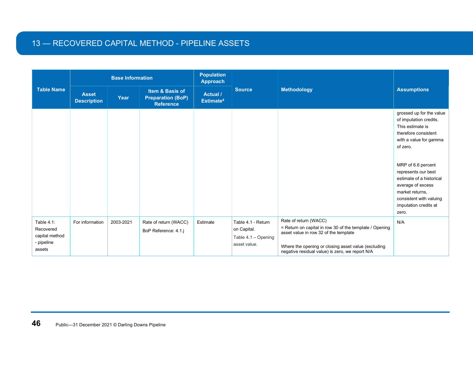|                                                                   | <b>Base Information</b>            |           |                                                                 | <b>Population</b><br><b>Approach</b> |                                                                          |                                                                                                                                                                                                                                     |                                                                                                                                                                                                                                                                                                                    |
|-------------------------------------------------------------------|------------------------------------|-----------|-----------------------------------------------------------------|--------------------------------------|--------------------------------------------------------------------------|-------------------------------------------------------------------------------------------------------------------------------------------------------------------------------------------------------------------------------------|--------------------------------------------------------------------------------------------------------------------------------------------------------------------------------------------------------------------------------------------------------------------------------------------------------------------|
| <b>Table Name</b>                                                 | <b>Asset</b><br><b>Description</b> | Year      | Item & Basis of<br><b>Preparation (BoP)</b><br><b>Reference</b> | Actual /<br>Estimate <sup>4</sup>    | <b>Source</b>                                                            | <b>Methodology</b>                                                                                                                                                                                                                  | <b>Assumptions</b>                                                                                                                                                                                                                                                                                                 |
|                                                                   |                                    |           |                                                                 |                                      |                                                                          |                                                                                                                                                                                                                                     | grossed up for the value<br>of imputation credits.<br>This estimate is<br>therefore consistent<br>with a value for gamma<br>of zero.<br>MRP of 6.6 percent<br>represents our best<br>estimate of a historical<br>average of excess<br>market returns,<br>consistent with valuing<br>imputation credits at<br>zero. |
| Table 4.1:<br>Recovered<br>capital method<br>- pipeline<br>assets | For information                    | 2003-2021 | Rate of return (WACC)<br>BoP Reference: 4.1.j                   | Estimate                             | Table 4.1 - Return<br>on Capital.<br>Table 4.1 - Opening<br>asset value. | Rate of return (WACC)<br>= Return on capital in row 30 of the template / Opening<br>asset value in row 32 of the template<br>Where the opening or closing asset value (excluding<br>negative residual value) is zero, we report N/A | N/A                                                                                                                                                                                                                                                                                                                |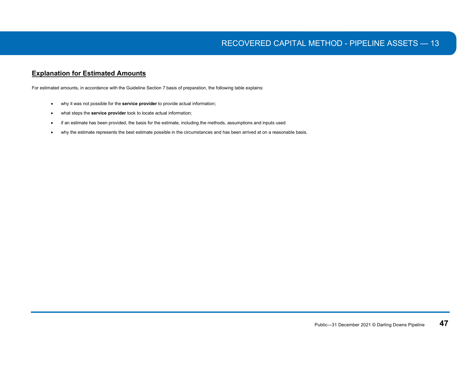#### Explanation for Estimated Amounts

For estimated amounts, in accordance with the Guideline Section 7 basis of preparation, the following table explains:

- why it was not possible for the service provider to provide actual information;
- what steps the service provider took to locate actual information;
- if an estimate has been provided, the basis for the estimate, including the methods, assumptions and inputs used
- why the estimate represents the best estimate possible in the circumstances and has been arrived at on a reasonable basis.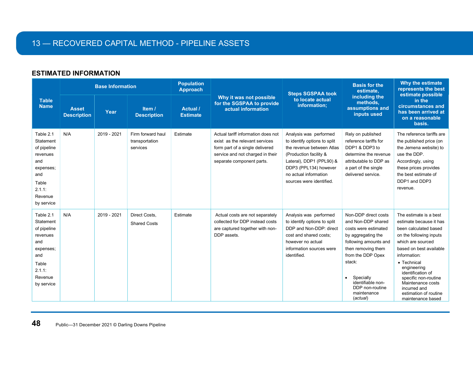#### ESTIMATED INFORMATION

|                                                                                                                          |                                    | <b>Base Information</b> |                                                 | <b>Population</b><br><b>Approach</b> |                                                                                                                                                                          | <b>Steps SGSPAA took</b>                                                                                                                                                                                                | <b>Basis for the</b><br>estimate.                                                                                                                                                                                                                                   | Why the estimate<br>represents the best                                                                                                                                                                                                                                                                                             |
|--------------------------------------------------------------------------------------------------------------------------|------------------------------------|-------------------------|-------------------------------------------------|--------------------------------------|--------------------------------------------------------------------------------------------------------------------------------------------------------------------------|-------------------------------------------------------------------------------------------------------------------------------------------------------------------------------------------------------------------------|---------------------------------------------------------------------------------------------------------------------------------------------------------------------------------------------------------------------------------------------------------------------|-------------------------------------------------------------------------------------------------------------------------------------------------------------------------------------------------------------------------------------------------------------------------------------------------------------------------------------|
| <b>Table</b><br><b>Name</b>                                                                                              | <b>Asset</b><br><b>Description</b> | Year                    | Item /<br><b>Description</b>                    | Actual /<br><b>Estimate</b>          | Why it was not possible<br>for the SGSPAA to provide<br>actual information                                                                                               | to locate actual<br>information;                                                                                                                                                                                        | including the<br>methods.<br>assumptions and<br>inputs used                                                                                                                                                                                                         | estimate possible<br>in the<br>circumstances and<br>has been arrived at<br>on a reasonable<br>basis.                                                                                                                                                                                                                                |
| Table 2.1<br>Statement<br>of pipeline<br>revenues<br>and<br>expenses;<br>and<br>Table<br>2.1.1:<br>Revenue<br>by service | N/A                                | 2019 - 2021             | Firm forward haul<br>transportation<br>services | Estimate                             | Actual tariff information does not<br>exist as the relevant services<br>form part of a single delivered<br>service and not charged in their<br>separate component parts. | Analysis was performed<br>to identify options to split<br>the revenue between Atlas<br>(Production facility &<br>Lateral), DDP1 (PPL90) &<br>DDP3 (PPL134) however<br>no actual information<br>sources were identified. | Rely on published<br>reference tariffs for<br>DDP1 & DDP3 to<br>determine the revenue<br>attributable to DDP as<br>a part of the single<br>delivered service.                                                                                                       | The reference tariffs are<br>the published price (on<br>the Jemena website) to<br>use the DDP.<br>Accordingly, using<br>these prices provides<br>the best estimate of<br>DDP1 and DDP3<br>revenue.                                                                                                                                  |
| Table 2.1<br>Statement<br>of pipeline<br>revenues<br>and<br>expenses;<br>and<br>Table<br>2.1.1:<br>Revenue<br>by service | N/A                                | 2019 - 2021             | Direct Costs,<br><b>Shared Costs</b>            | Estimate                             | Actual costs are not separately<br>collected for DDP instead costs<br>are captured together with non-<br>DDP assets                                                      | Analysis was performed<br>to identify options to split<br>DDP and Non-DDP: direct<br>cost and shared costs:<br>however no actual<br>information sources were<br>identified.                                             | Non-DDP direct costs<br>and Non-DDP shared<br>costs were estimated<br>by aggregating the<br>following amounts and<br>then removing them<br>from the DDP Opex<br>stack:<br>Specially<br>$\bullet$<br>identifiable non-<br>DDP non-routine<br>maintenance<br>(actual) | The estimate is a best<br>estimate because it has<br>been calculated based<br>on the following inputs<br>which are sourced<br>based on best available<br>information:<br>• Technical<br>engineering<br>identification of<br>specific non-routine<br>Maintenance costs<br>incurred and<br>estimation of routine<br>maintenance based |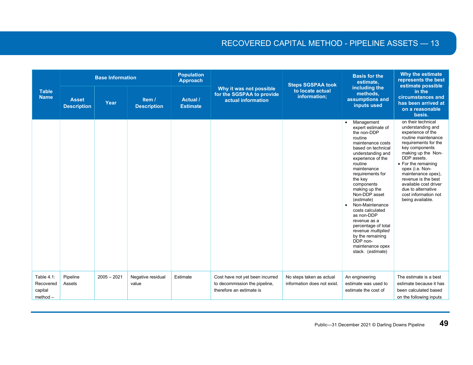|                                                     | <b>Base Information</b>            |               |                              | <b>Population</b><br><b>Approach</b> |                                                                                              | <b>Steps SGSPAA took</b>                                | <b>Basis for the</b><br>estimate,                                                                                                                                                                                                                                                                                                                                                                                                                                                           | Why the estimate<br>represents the best<br>estimate possible                                                                                                                                                                                                                                                                                         |
|-----------------------------------------------------|------------------------------------|---------------|------------------------------|--------------------------------------|----------------------------------------------------------------------------------------------|---------------------------------------------------------|---------------------------------------------------------------------------------------------------------------------------------------------------------------------------------------------------------------------------------------------------------------------------------------------------------------------------------------------------------------------------------------------------------------------------------------------------------------------------------------------|------------------------------------------------------------------------------------------------------------------------------------------------------------------------------------------------------------------------------------------------------------------------------------------------------------------------------------------------------|
| <b>Table</b><br><b>Name</b>                         | <b>Asset</b><br><b>Description</b> | Year          | Item /<br><b>Description</b> | Actual /<br><b>Estimate</b>          | Why it was not possible<br>for the SGSPAA to provide<br>actual information                   | to locate actual<br>information:                        | including the<br>methods,<br>assumptions and<br>inputs used                                                                                                                                                                                                                                                                                                                                                                                                                                 | in the<br>circumstances and<br>has been arrived at<br>on a reasonable<br>basis.                                                                                                                                                                                                                                                                      |
|                                                     |                                    |               |                              |                                      |                                                                                              |                                                         | Management<br>$\bullet$<br>expert estimate of<br>the non-DDP<br>routine<br>maintenance costs<br>based on technical<br>understanding and<br>experience of the<br>routine<br>maintenance<br>requirements for<br>the key<br>components<br>making up the<br>Non-DDP asset<br>(estimate)<br>Non-Maintenance<br>$\bullet$<br>costs calculated<br>as non-DDP<br>revenue as a<br>percentage of total<br>revenue multiplied<br>by the remaining<br>DDP non-<br>maintenance opex<br>stack. (estimate) | on their technical<br>understanding and<br>experience of the<br>routine maintenance<br>requirements for the<br>key components<br>making up the Non-<br>DDP assets.<br>• For the remaining<br>opex (i.e. Non-<br>maintenance opex),<br>revenue is the best<br>available cost driver<br>due to alternative<br>cost information not<br>being available. |
| Table $4.1$ :<br>Recovered<br>capital<br>$method -$ | Pipeline<br>Assets                 | $2005 - 2021$ | Negative residual<br>value   | Estimate                             | Cost have not yet been incurred<br>to decommission the pipeline,<br>therefore an estimate is | No steps taken as actual<br>information does not exist. | An engineering<br>estimate was used to<br>estimate the cost of                                                                                                                                                                                                                                                                                                                                                                                                                              | The estimate is a best<br>estimate because it has<br>been calculated based<br>on the following inputs                                                                                                                                                                                                                                                |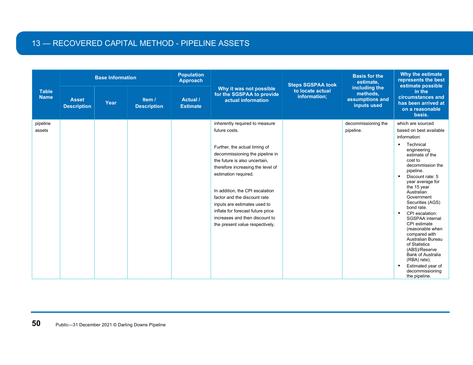|                             | <b>Base Information</b>            |      |                              | <b>Population</b><br><b>Approach</b> |                                                                                                                                                                                                                                                                                                                                                                                                                                | <b>Steps SGSPAA took</b>         | <b>Basis for the</b><br>estimate,                           | Why the estimate<br>represents the best<br>estimate possible                                                                                                                                                                                                                                                                                                                                                                                                                                                                                                         |
|-----------------------------|------------------------------------|------|------------------------------|--------------------------------------|--------------------------------------------------------------------------------------------------------------------------------------------------------------------------------------------------------------------------------------------------------------------------------------------------------------------------------------------------------------------------------------------------------------------------------|----------------------------------|-------------------------------------------------------------|----------------------------------------------------------------------------------------------------------------------------------------------------------------------------------------------------------------------------------------------------------------------------------------------------------------------------------------------------------------------------------------------------------------------------------------------------------------------------------------------------------------------------------------------------------------------|
| <b>Table</b><br><b>Name</b> | <b>Asset</b><br><b>Description</b> | Year | Item /<br><b>Description</b> | Actual /<br><b>Estimate</b>          | Why it was not possible<br>for the SGSPAA to provide<br>actual information                                                                                                                                                                                                                                                                                                                                                     | to locate actual<br>information; | including the<br>methods,<br>assumptions and<br>inputs used | in the<br>circumstances and<br>has been arrived at<br>on a reasonable<br>basis.                                                                                                                                                                                                                                                                                                                                                                                                                                                                                      |
| pipeline<br>assets          |                                    |      |                              |                                      | inherently required to measure<br>future costs.<br>Further, the actual timing of<br>decommissioning the pipeline in<br>the future is also uncertain,<br>therefore increasing the level of<br>estimation required.<br>In addition, the CPI escalation<br>factor and the discount rate<br>inputs are estimates used to<br>inflate for forecast future price<br>increases and then discount to<br>the present value respectively. |                                  | decommissioning the<br>pipeline.                            | which are sourced<br>based on best available<br>information:<br>Technical<br>$\bullet$<br>engineering<br>estimate of the<br>cost to<br>decommission the<br>pipeline.<br>Discount rate: 5<br>year average for<br>the 15 year<br>Australian<br>Government<br>Securities (AGS)<br>bond rate.<br>CPI escalation:<br><b>SGSPAA</b> internal<br>CPI estimate<br>(reasonable when<br>compared with<br>Australian Bureau<br>of Statistics<br>(ABS)/Reserve<br><b>Bank of Australia</b><br>(RBA) rate).<br>Estimated year of<br>$\bullet$<br>decommissioning<br>the pipeline. |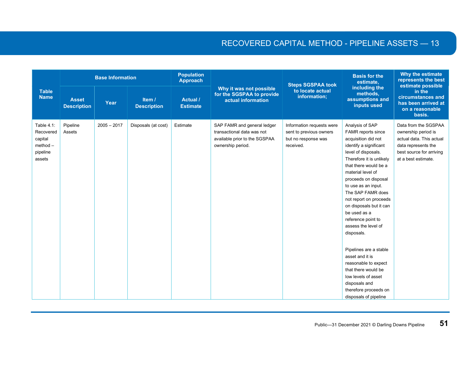|                                                                     |                                    | <b>Base Information</b> |                              |                             |                                                                                                                 | <b>Steps SGSPAA took</b>                                                                 | <b>Basis for the</b><br>estimate,                                                                                                                                                                                                                                                                                                                                                                                                                                                                                                                                                        | Why the estimate<br>represents the best                                                                                                           |
|---------------------------------------------------------------------|------------------------------------|-------------------------|------------------------------|-----------------------------|-----------------------------------------------------------------------------------------------------------------|------------------------------------------------------------------------------------------|------------------------------------------------------------------------------------------------------------------------------------------------------------------------------------------------------------------------------------------------------------------------------------------------------------------------------------------------------------------------------------------------------------------------------------------------------------------------------------------------------------------------------------------------------------------------------------------|---------------------------------------------------------------------------------------------------------------------------------------------------|
| <b>Table</b><br><b>Name</b>                                         | <b>Asset</b><br><b>Description</b> | Year                    | Item /<br><b>Description</b> | Actual /<br><b>Estimate</b> | Why it was not possible<br>for the SGSPAA to provide<br>actual information                                      | to locate actual<br>information;                                                         | including the<br>methods,<br>assumptions and<br>inputs used                                                                                                                                                                                                                                                                                                                                                                                                                                                                                                                              | estimate possible<br>in the<br>circumstances and<br>has been arrived at<br>on a reasonable<br>basis.                                              |
| Table 4.1:<br>Recovered<br>capital<br>method-<br>pipeline<br>assets | Pipeline<br>Assets                 | $2005 - 2017$           | Disposals (at cost)          | Estimate                    | SAP FAMR and general ledger<br>transactional data was not<br>available prior to the SGSPAA<br>ownership period. | Information requests were<br>sent to previous owners<br>but no response was<br>received. | Analysis of SAP<br><b>FAMR</b> reports since<br>acquisition did not<br>identify a significant<br>level of disposals.<br>Therefore it is unlikely<br>that there would be a<br>material level of<br>proceeds on disposal<br>to use as an input.<br>The SAP FAMR does<br>not report on proceeds<br>on disposals but it can<br>be used as a<br>reference point to<br>assess the level of<br>disposals.<br>Pipelines are a stable<br>asset and it is<br>reasonable to expect<br>that there would be<br>low levels of asset<br>disposals and<br>therefore proceeds on<br>disposals of pipeline | Data from the SGSPAA<br>ownership period is<br>actual data. This actual<br>data represents the<br>best source for arriving<br>at a best estimate. |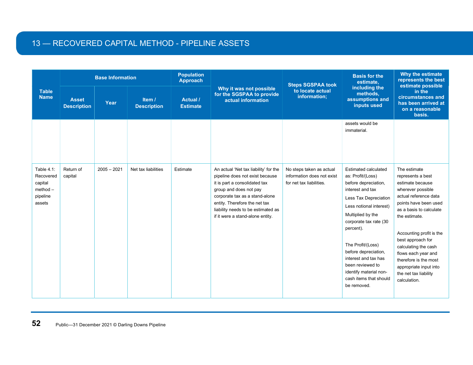|                                                                           | <b>Base Information</b>            |               |                              | <b>Population</b><br><b>Approach</b> |                                                                                                                                                                                                                                                                                  | <b>Steps SGSPAA took</b>                                                           | <b>Basis for the</b><br>estimate,                                                                                                                                                                                                                                                                                                                                        | Why the estimate<br>represents the best<br>estimate possible                                                                                                                                                                                                                                                                                                         |
|---------------------------------------------------------------------------|------------------------------------|---------------|------------------------------|--------------------------------------|----------------------------------------------------------------------------------------------------------------------------------------------------------------------------------------------------------------------------------------------------------------------------------|------------------------------------------------------------------------------------|--------------------------------------------------------------------------------------------------------------------------------------------------------------------------------------------------------------------------------------------------------------------------------------------------------------------------------------------------------------------------|----------------------------------------------------------------------------------------------------------------------------------------------------------------------------------------------------------------------------------------------------------------------------------------------------------------------------------------------------------------------|
| <b>Table</b><br><b>Name</b>                                               | <b>Asset</b><br><b>Description</b> | Year          | Item /<br><b>Description</b> | Actual /<br><b>Estimate</b>          | Why it was not possible<br>for the SGSPAA to provide<br>actual information                                                                                                                                                                                                       | to locate actual<br>information;                                                   | including the<br>methods,<br>assumptions and<br>inputs used                                                                                                                                                                                                                                                                                                              | in the<br>circumstances and<br>has been arrived at<br>on a reasonable<br>basis.                                                                                                                                                                                                                                                                                      |
|                                                                           |                                    |               |                              |                                      |                                                                                                                                                                                                                                                                                  |                                                                                    | assets would be<br>immaterial.                                                                                                                                                                                                                                                                                                                                           |                                                                                                                                                                                                                                                                                                                                                                      |
| Table $4.1$ :<br>Recovered<br>capital<br>$method -$<br>pipeline<br>assets | Return of<br>capital               | $2005 - 2021$ | Net tax liabilities          | Estimate                             | An actual 'Net tax liability' for the<br>pipeline does not exist because<br>it is part a consolidated tax<br>group and does not pay<br>corporate tax as a stand-alone<br>entity. Therefore the net tax<br>liability needs to be estimated as<br>if it were a stand-alone entity. | No steps taken as actual<br>information does not exist<br>for net tax liabilities. | <b>Estimated calculated</b><br>as: Profit/(Loss)<br>before depreciation,<br>interest and tax<br>Less Tax Depreciation<br>Less notional interest)<br>Multiplied by the<br>corporate tax rate (30<br>percent).<br>The Profit/(Loss)<br>before depreciation,<br>interest and tax has<br>been reviewed to<br>identify material non-<br>cash items that should<br>be removed. | The estimate<br>represents a best<br>estimate because<br>wherever possible<br>actual reference data<br>points have been used<br>as a basis to calculate<br>the estimate.<br>Accounting profit is the<br>best approach for<br>calculating the cash<br>flows each year and<br>therefore is the most<br>appropriate input into<br>the net tax liability<br>calculation. |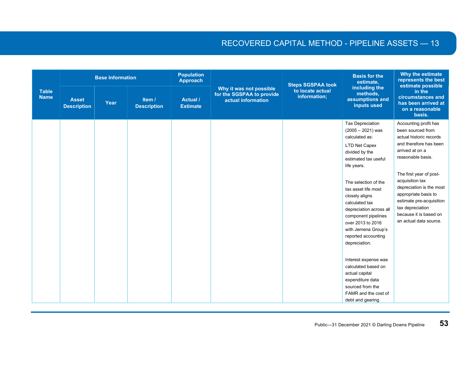|                             | <b>Base Information</b>            |      |                              | <b>Population</b><br><b>Approach</b> |                                                                            | <b>Steps SGSPAA took</b>         | <b>Basis for the</b><br>estimate,                                                                                                                                                                                     | Why the estimate<br>represents the best<br>estimate possible                                                                                                                                       |
|-----------------------------|------------------------------------|------|------------------------------|--------------------------------------|----------------------------------------------------------------------------|----------------------------------|-----------------------------------------------------------------------------------------------------------------------------------------------------------------------------------------------------------------------|----------------------------------------------------------------------------------------------------------------------------------------------------------------------------------------------------|
| <b>Table</b><br><b>Name</b> | <b>Asset</b><br><b>Description</b> | Year | Item /<br><b>Description</b> | Actual /<br><b>Estimate</b>          | Why it was not possible<br>for the SGSPAA to provide<br>actual information | to locate actual<br>information; | including the<br>methods,<br>assumptions and<br>inputs used                                                                                                                                                           | in the<br>circumstances and<br>has been arrived at<br>on a reasonable<br>basis.                                                                                                                    |
|                             |                                    |      |                              |                                      |                                                                            |                                  | <b>Tax Depreciation</b><br>$(2005 - 2021)$ was<br>calculated as:<br>LTD Net Capex<br>divided by the<br>estimated tax useful<br>life years.                                                                            | Accounting profit has<br>been sourced from<br>actual historic records<br>and therefore has been<br>arrived at on a<br>reasonable basis.                                                            |
|                             |                                    |      |                              |                                      |                                                                            |                                  | The selection of the<br>tax asset life most<br>closely aligns<br>calculated tax<br>depreciation across all<br>component pipelines<br>over 2013 to 2016<br>with Jemena Group's<br>reported accounting<br>depreciation. | The first year of post-<br>acquisition tax<br>depreciation is the most<br>appropriate basis to<br>estimate pre-acquisition<br>tax depreciation<br>because it is based on<br>an actual data source. |
|                             |                                    |      |                              |                                      |                                                                            |                                  | Interest expense was<br>calculated based on<br>actual capital<br>expenditure data<br>sourced from the<br>FAMR and the cost of<br>debt and gearing                                                                     |                                                                                                                                                                                                    |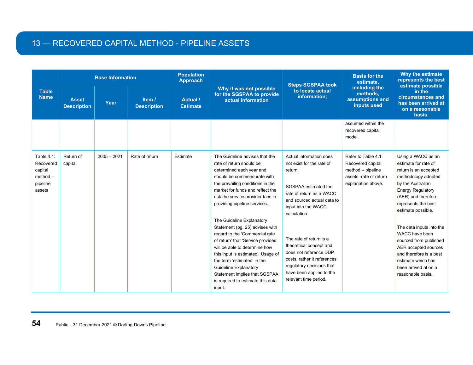|                                                                         | <b>Base Information</b>            |               |                              | <b>Population</b><br><b>Approach</b> |                                                                                                                                                                                                                                                                                                                                                                                                                                                                                                                                                                                                                                 | <b>Steps SGSPAA took</b>                                                                                                                                                                                                                                                                                                                                                                  | <b>Basis for the</b><br>estimate,                                                                             | Why the estimate<br>represents the best<br>estimate possible                                                                                                                                                                                                                                                                                                                                                  |
|-------------------------------------------------------------------------|------------------------------------|---------------|------------------------------|--------------------------------------|---------------------------------------------------------------------------------------------------------------------------------------------------------------------------------------------------------------------------------------------------------------------------------------------------------------------------------------------------------------------------------------------------------------------------------------------------------------------------------------------------------------------------------------------------------------------------------------------------------------------------------|-------------------------------------------------------------------------------------------------------------------------------------------------------------------------------------------------------------------------------------------------------------------------------------------------------------------------------------------------------------------------------------------|---------------------------------------------------------------------------------------------------------------|---------------------------------------------------------------------------------------------------------------------------------------------------------------------------------------------------------------------------------------------------------------------------------------------------------------------------------------------------------------------------------------------------------------|
| <b>Table</b><br><b>Name</b>                                             | <b>Asset</b><br><b>Description</b> | Year          | Item /<br><b>Description</b> | Actual /<br><b>Estimate</b>          | Why it was not possible<br>for the SGSPAA to provide<br>actual information                                                                                                                                                                                                                                                                                                                                                                                                                                                                                                                                                      | to locate actual<br>information;                                                                                                                                                                                                                                                                                                                                                          | including the<br>methods,<br>assumptions and<br>inputs used                                                   | in the<br>circumstances and<br>has been arrived at<br>on a reasonable<br>basis.                                                                                                                                                                                                                                                                                                                               |
|                                                                         |                                    |               |                              |                                      |                                                                                                                                                                                                                                                                                                                                                                                                                                                                                                                                                                                                                                 |                                                                                                                                                                                                                                                                                                                                                                                           | assumed within the<br>recovered capital<br>model.                                                             |                                                                                                                                                                                                                                                                                                                                                                                                               |
| Table $4.1$ :<br>Recovered<br>capital<br>method –<br>pipeline<br>assets | Return of<br>capital               | $2005 - 2021$ | Rate of return               | Estimate                             | The Guideline advises that the<br>rate of return should be<br>determined each year and<br>should be commensurate with<br>the prevailing conditions in the<br>market for funds and reflect the<br>risk the service provider face in<br>providing pipeline services.<br>The Guideline Explanatory<br>Statement (pg. 25) advises with<br>regard to the 'Commercial rate<br>of return' that 'Service provides<br>will be able to determine how<br>this input is estimated'. Usage of<br>the term 'estimated' in the<br><b>Guideline Explanatory</b><br>Statement implies that SGSPAA<br>is required to estimate this data<br>input. | Actual information does<br>not exist for the rate of<br>return.<br>SGSPAA estimated the<br>rate of return as a WACC<br>and sourced actual data to<br>input into the WACC<br>calculation.<br>The rate of return is a<br>theoretical concept and<br>does not reference DDP<br>costs. rather it references<br>regulatory decisions that<br>have been applied to the<br>relevant time period. | Refer to Table 4.1:<br>Recovered capital<br>method - pipeline<br>assets -rate of return<br>explanation above. | Using a WACC as an<br>estimate for rate of<br>return is an accepted<br>methodology adopted<br>by the Australian<br><b>Energy Regulatory</b><br>(AER) and therefore<br>represents the best<br>estimate possible.<br>The data inputs into the<br>WACC have been<br>sourced from published<br>AER accepted sources<br>and therefore is a best<br>estimate which has<br>been arrived at on a<br>reasonable basis. |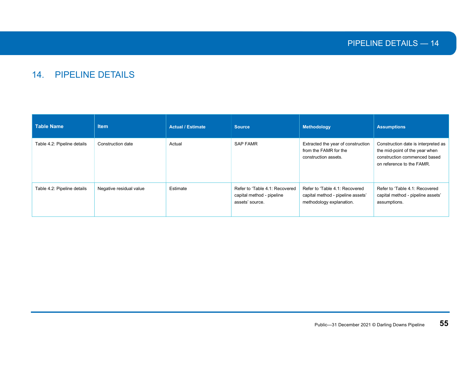# 14. PIPELINE DETAILS

| <b>Table Name</b>           | <b>Item</b>             | <b>Actual / Estimate</b> | <b>Source</b>                                                                  | Methodology                                                                                     | <b>Assumptions</b>                                                                                                                 |
|-----------------------------|-------------------------|--------------------------|--------------------------------------------------------------------------------|-------------------------------------------------------------------------------------------------|------------------------------------------------------------------------------------------------------------------------------------|
| Table 4.2: Pipeline details | Construction date       | Actual                   | <b>SAP FAMR</b>                                                                | Extracted the year of construction<br>from the FAMR for the<br>construction assets.             | Construction date is interpreted as<br>the mid-point of the year when<br>construction commenced based<br>on reference to the FAMR. |
| Table 4.2: Pipeline details | Negative residual value | Estimate                 | Refer to 'Table 4.1: Recovered<br>capital method - pipeline<br>assets' source. | Refer to 'Table 4.1: Recovered<br>capital method - pipeline assets'<br>methodology explanation. | Refer to 'Table 4.1: Recovered<br>capital method - pipeline assets'<br>assumptions.                                                |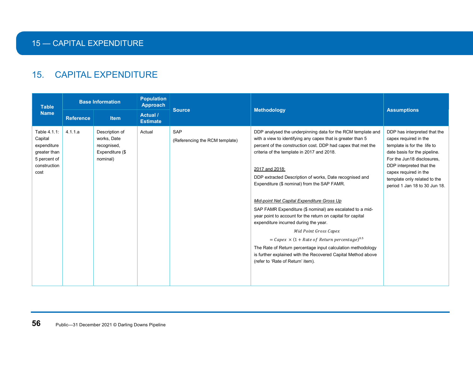# 15. CAPITAL EXPENDITURE

| <b>Table</b>                                                                                   | <b>Base Information</b> |                                                                             | <b>Population</b><br><b>Approach</b> | <b>Source</b>                         | <b>Methodology</b>                                                                                                                                                                                                                                                                                                                                                                                                                                                                                                                                                                                                                                                                                                                                                                                                                             | <b>Assumptions</b>                                                                                                                                                                                                                                                       |  |
|------------------------------------------------------------------------------------------------|-------------------------|-----------------------------------------------------------------------------|--------------------------------------|---------------------------------------|------------------------------------------------------------------------------------------------------------------------------------------------------------------------------------------------------------------------------------------------------------------------------------------------------------------------------------------------------------------------------------------------------------------------------------------------------------------------------------------------------------------------------------------------------------------------------------------------------------------------------------------------------------------------------------------------------------------------------------------------------------------------------------------------------------------------------------------------|--------------------------------------------------------------------------------------------------------------------------------------------------------------------------------------------------------------------------------------------------------------------------|--|
| <b>Name</b>                                                                                    | <b>Reference</b>        | Item                                                                        | Actual /<br><b>Estimate</b>          |                                       |                                                                                                                                                                                                                                                                                                                                                                                                                                                                                                                                                                                                                                                                                                                                                                                                                                                |                                                                                                                                                                                                                                                                          |  |
| Table 4.1.1:<br>Capital<br>expenditure<br>greater than<br>5 percent of<br>construction<br>cost | 4.1.1.a                 | Description of<br>works, Date<br>recognised,<br>Expenditure (\$<br>nominal) | Actual                               | SAP<br>(Referencing the RCM template) | DDP analysed the underpinning data for the RCM template and<br>with a view to identifying any capex that is greater than 5<br>percent of the construction cost. DDP had capex that met the<br>criteria of the template in 2017 and 2018.<br>2017 and 2018:<br>DDP extracted Description of works, Date recognised and<br>Expenditure (\$ nominal) from the SAP FAMR.<br>Mid-point Net Capital Expenditure Gross Up<br>SAP FAMR Expenditure (\$ nominal) are escalated to a mid-<br>year point to account for the return on capital for capital<br>expenditure incurred during the year.<br>Mid Point Gross Capex<br>$= Capex \times (1 + Rate of Return percentage)^{0.5}$<br>The Rate of Return percentage input calculation methodology<br>is further explained with the Recovered Capital Method above<br>(refer to 'Rate of Return' item). | DDP has interpreted that the<br>capex required in the<br>template is for the life to<br>date basis for the pipeline.<br>For the Jun18 disclosures,<br>DDP interpreted that the<br>capex required in the<br>template only related to the<br>period 1 Jan 18 to 30 Jun 18. |  |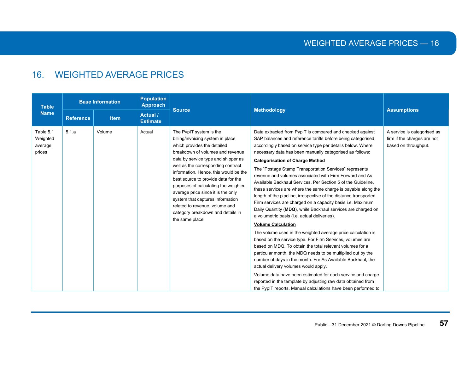#### 16. WEIGHTED AVERAGE PRICES

| <b>Table</b>                               | <b>Base Information</b> |        | <b>Population</b><br><b>Approach</b> | <b>Source</b>                                                                                                                                                                                                                                                                                                                                                                                                                                                                                            | <b>Methodology</b>                                                                                                                                                                                                                                                                                                                                                                                                                                                                                                                                                                                                                                                                                                                                                                                                                                                                                                                                                                                                                                                                                                                                                                                                                                                                                                                                                                                | <b>Assumptions</b>                                                                 |
|--------------------------------------------|-------------------------|--------|--------------------------------------|----------------------------------------------------------------------------------------------------------------------------------------------------------------------------------------------------------------------------------------------------------------------------------------------------------------------------------------------------------------------------------------------------------------------------------------------------------------------------------------------------------|---------------------------------------------------------------------------------------------------------------------------------------------------------------------------------------------------------------------------------------------------------------------------------------------------------------------------------------------------------------------------------------------------------------------------------------------------------------------------------------------------------------------------------------------------------------------------------------------------------------------------------------------------------------------------------------------------------------------------------------------------------------------------------------------------------------------------------------------------------------------------------------------------------------------------------------------------------------------------------------------------------------------------------------------------------------------------------------------------------------------------------------------------------------------------------------------------------------------------------------------------------------------------------------------------------------------------------------------------------------------------------------------------|------------------------------------------------------------------------------------|
| <b>Name</b>                                | <b>Reference</b>        | Item   | Actual /<br><b>Estimate</b>          |                                                                                                                                                                                                                                                                                                                                                                                                                                                                                                          |                                                                                                                                                                                                                                                                                                                                                                                                                                                                                                                                                                                                                                                                                                                                                                                                                                                                                                                                                                                                                                                                                                                                                                                                                                                                                                                                                                                                   |                                                                                    |
| Table 5.1<br>Weighted<br>average<br>prices | 5.1.a                   | Volume | Actual                               | The PypIT system is the<br>billing/invoicing system in place<br>which provides the detailed<br>breakdown of volumes and revenue<br>data by service type and shipper as<br>well as the corresponding contract<br>information. Hence, this would be the<br>best source to provide data for the<br>purposes of calculating the weighted<br>average price since it is the only<br>system that captures information<br>related to revenue, volume and<br>category breakdown and details in<br>the same place. | Data extracted from PypIT is compared and checked against<br>SAP balances and reference tariffs before being categorised<br>accordingly based on service type per details below. Where<br>necessary data has been manually categorised as follows:<br><b>Categorisation of Charge Method</b><br>The "Postage Stamp Transportation Services" represents<br>revenue and volumes associated with Firm Forward and As<br>Available Backhaul Services. Per Section 5 of the Guideline,<br>these services are where the same charge is payable along the<br>length of the pipeline, irrespective of the distance transported.<br>Firm services are charged on a capacity basis i.e. Maximum<br>Daily Quantity (MDQ), while Backhaul services are charged on<br>a volumetric basis (i.e. actual deliveries).<br><b>Volume Calculation</b><br>The volume used in the weighted average price calculation is<br>based on the service type. For Firm Services, volumes are<br>based on MDQ. To obtain the total relevant volumes for a<br>particular month, the MDQ needs to be multiplied out by the<br>number of days in the month. For As Available Backhaul, the<br>actual delivery volumes would apply.<br>Volume data have been estimated for each service and charge<br>reported in the template by adjusting raw data obtained from<br>the PypIT reports. Manual calculations have been performed to | A service is categorised as<br>firm if the charges are not<br>based on throughput. |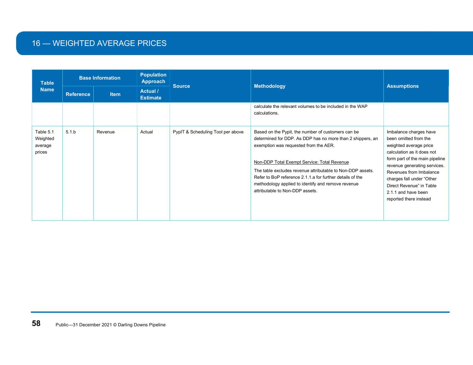# 16 — WEIGHTED AVERAGE PRICES

| <b>Table</b>                               | <b>Base Information</b> |             | <b>Population</b><br><b>Approach</b> | <b>Source</b>                     | <b>Methodology</b>                                                                                                                                                                                                                                                                                                                                                                                                           | <b>Assumptions</b>                                                                                                                                                                                                                                                                                             |
|--------------------------------------------|-------------------------|-------------|--------------------------------------|-----------------------------------|------------------------------------------------------------------------------------------------------------------------------------------------------------------------------------------------------------------------------------------------------------------------------------------------------------------------------------------------------------------------------------------------------------------------------|----------------------------------------------------------------------------------------------------------------------------------------------------------------------------------------------------------------------------------------------------------------------------------------------------------------|
| <b>Name</b>                                | <b>Reference</b>        | <b>Item</b> | <b>Actual</b> /<br><b>Estimate</b>   |                                   |                                                                                                                                                                                                                                                                                                                                                                                                                              |                                                                                                                                                                                                                                                                                                                |
|                                            |                         |             |                                      |                                   | calculate the relevant volumes to be included in the WAP<br>calculations.                                                                                                                                                                                                                                                                                                                                                    |                                                                                                                                                                                                                                                                                                                |
| Table 5.1<br>Weighted<br>average<br>prices | 5.1.b                   | Revenue     | Actual                               | PypIT & Scheduling Tool per above | Based on the Pypit, the number of customers can be<br>determined for DDP. As DDP has no more than 2 shippers, an<br>exemption was requested from the AER.<br>Non-DDP Total Exempt Service: Total Revenue<br>The table excludes revenue attributable to Non-DDP assets.<br>Refer to BoP reference 2.1.1.a for further details of the<br>methodology applied to identify and remove revenue<br>attributable to Non-DDP assets. | Imbalance charges have<br>been omitted from the<br>weighted average price<br>calculation as it does not<br>form part of the main pipeline<br>revenue generating services.<br>Revenues from Imbalance<br>charges fall under "Other<br>Direct Revenue" in Table<br>2.1.1 and have been<br>reported there instead |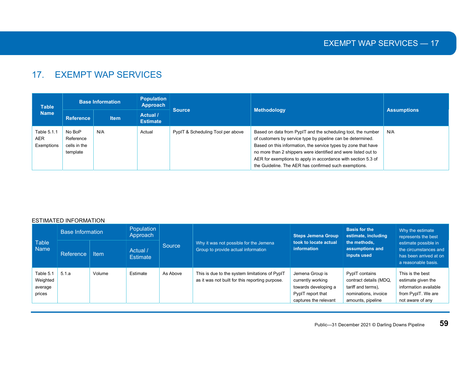#### 17. EXEMPT WAP SERVICES

| <b>Table</b><br><b>Name</b>             | <b>Base Information</b>                         |             | <b>Population</b><br><b>Approach</b> | <b>Source</b>                     | <b>Methodology</b>                                                                                                                                                                                                                                                                                                                                                                        | <b>Assumptions</b> |
|-----------------------------------------|-------------------------------------------------|-------------|--------------------------------------|-----------------------------------|-------------------------------------------------------------------------------------------------------------------------------------------------------------------------------------------------------------------------------------------------------------------------------------------------------------------------------------------------------------------------------------------|--------------------|
|                                         | <b>Reference</b>                                | <b>Item</b> | Actual /<br><b>Estimate</b>          |                                   |                                                                                                                                                                                                                                                                                                                                                                                           |                    |
| Table 5.1.1<br><b>AER</b><br>Exemptions | No BoP<br>Reference<br>cells in the<br>template | N/A         | Actual                               | PypIT & Scheduling Tool per above | Based on data from PypIT and the scheduling tool, the number<br>of customers by service type by pipeline can be determined.<br>Based on this information, the service types by zone that have<br>no more than 2 shippers were identified and were listed out to<br>AER for exemptions to apply in accordance with section 5.3 of<br>the Guideline. The AER has confirmed such exemptions. | N/A                |

#### ESTIMATED INFORMATION

| <b>Table</b><br><b>Name</b>                | <b>Base Information</b><br>Reference | <b>Item</b> | Population<br>Approach<br>Actual /<br><b>Estimate</b> | Source   | Why it was not possible for the Jemena<br>Group to provide actual information                     | <b>Steps Jemena Group</b><br>took to locate actual<br>information                                          | <b>Basis for the</b><br>estimate, including<br>the methods.<br>assumptions and<br>inputs used               | Why the estimate<br>represents the best<br>estimate possible in<br>the circumstances and<br>has been arrived at on<br>a reasonable basis. |
|--------------------------------------------|--------------------------------------|-------------|-------------------------------------------------------|----------|---------------------------------------------------------------------------------------------------|------------------------------------------------------------------------------------------------------------|-------------------------------------------------------------------------------------------------------------|-------------------------------------------------------------------------------------------------------------------------------------------|
| Table 5.1<br>Weighted<br>average<br>prices | 5.1.a                                | Volume      | Estimate                                              | As Above | This is due to the system limitations of PypIT<br>as it was not built for this reporting purpose. | Jemena Group is<br>currently working<br>towards developing a<br>PypIT report that<br>captures the relevant | PypIT contains<br>contract details (MDQ,<br>tariff and terms),<br>nominations, invoice<br>amounts, pipeline | This is the best<br>estimate given the<br>information available<br>from PypIT. We are<br>not aware of any                                 |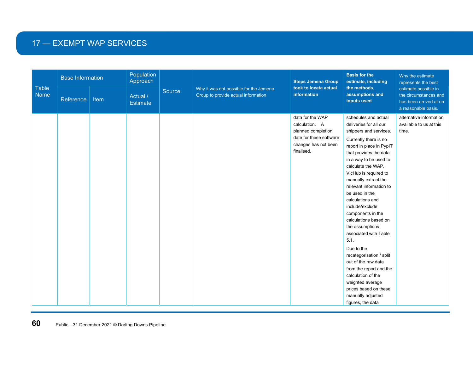# 17 — EXEMPT WAP SERVICES

|                      | <b>Base Information</b> |      | Population<br>Approach      |        |                                                                               | <b>Steps Jemena Group</b>                                                                                                 | <b>Basis for the</b><br>estimate, including                                                                                                                                                                                                                                                                                                                                                                                                                                                                                                                                                                                                             | Why the estimate<br>represents the best                                                        |
|----------------------|-------------------------|------|-----------------------------|--------|-------------------------------------------------------------------------------|---------------------------------------------------------------------------------------------------------------------------|---------------------------------------------------------------------------------------------------------------------------------------------------------------------------------------------------------------------------------------------------------------------------------------------------------------------------------------------------------------------------------------------------------------------------------------------------------------------------------------------------------------------------------------------------------------------------------------------------------------------------------------------------------|------------------------------------------------------------------------------------------------|
| <b>Table</b><br>Name | Reference               | Item | Actual /<br><b>Estimate</b> | Source | Why it was not possible for the Jemena<br>Group to provide actual information | took to locate actual<br>information                                                                                      | the methods,<br>assumptions and<br>inputs used                                                                                                                                                                                                                                                                                                                                                                                                                                                                                                                                                                                                          | estimate possible in<br>the circumstances and<br>has been arrived at on<br>a reasonable basis. |
|                      |                         |      |                             |        |                                                                               | data for the WAP<br>calculation. A<br>planned completion<br>date for these software<br>changes has not been<br>finalised. | schedules and actual<br>deliveries for all our<br>shippers and services.<br>Currently there is no<br>report in place in PypIT<br>that provides the data<br>in a way to be used to<br>calculate the WAP.<br>VicHub is required to<br>manually extract the<br>relevant information to<br>be used in the<br>calculations and<br>include/exclude<br>components in the<br>calculations based on<br>the assumptions<br>associated with Table<br>5.1.<br>Due to the<br>recategorisation / split<br>out of the raw data<br>from the report and the<br>calculation of the<br>weighted average<br>prices based on these<br>manually adjusted<br>figures, the data | alternative information<br>available to us at this<br>time.                                    |